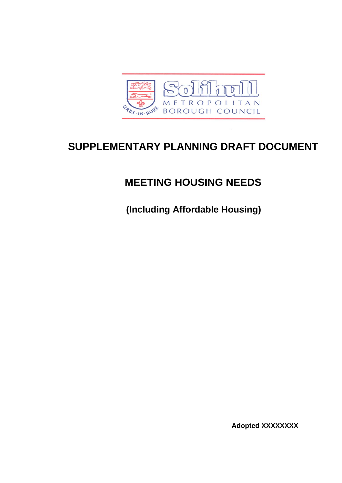

# **SUPPLEMENTARY PLANNING DRAFT DOCUMENT**

# **MEETING HOUSING NEEDS**

 **(Including Affordable Housing)** 

**Adopted XXXXXXXX**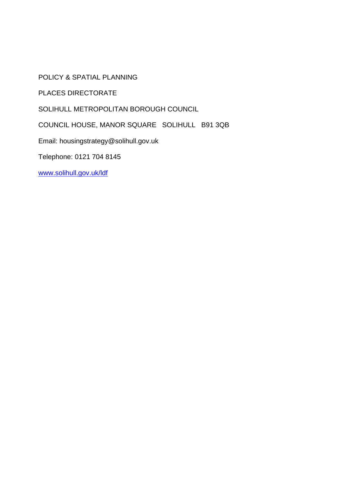POLICY & SPATIAL PLANNING

PLACES DIRECTORATE

SOLIHULL METROPOLITAN BOROUGH COUNCIL

COUNCIL HOUSE, MANOR SQUARE SOLIHULL B91 3QB

Email: housingstrategy@solihull.gov.uk

Telephone: 0121 704 8145

www.solihull.gov.uk/ldf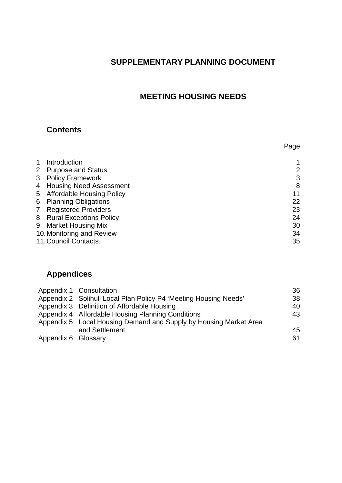# **SUPPLEMENTARY PLANNING DOCUMENT**

# **MEETING HOUSING NEEDS**

## **Contents**

|                              | Page |
|------------------------------|------|
| 1. Introduction              |      |
| 2. Purpose and Status        | 2    |
| 3. Policy Framework          | 3    |
| 4. Housing Need Assessment   | 8    |
| 5. Affordable Housing Policy | 11   |
| 6. Planning Obligations      | 22   |
| 7. Registered Providers      | 23   |
| 8. Rural Exceptions Policy   | 24   |
| 9. Market Housing Mix        | 30   |
| 10. Monitoring and Review    | 34   |
| 11. Council Contacts         | 35   |

# **Appendices**

| Appendix 1 Consultation                                           | 36 |
|-------------------------------------------------------------------|----|
| Appendix 2 Solihull Local Plan Policy P4 'Meeting Housing Needs'  | 38 |
| Appendix 3 Definition of Affordable Housing                       | 40 |
| Appendix 4 Affordable Housing Planning Conditions                 | 43 |
| Appendix 5 Local Housing Demand and Supply by Housing Market Area |    |
| and Settlement                                                    | 45 |
| Appendix 6 Glossary                                               | 61 |
|                                                                   |    |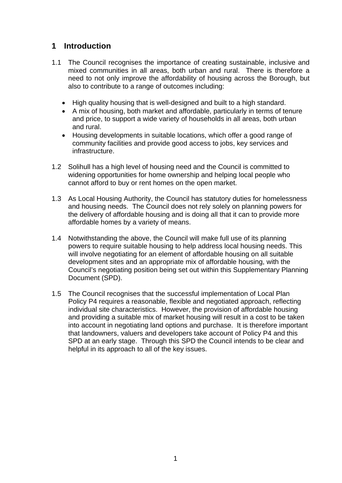## **1 Introduction**

- 1.1 The Council recognises the importance of creating sustainable, inclusive and mixed communities in all areas, both urban and rural. There is therefore a need to not only improve the affordability of housing across the Borough, but also to contribute to a range of outcomes including:
	- High quality housing that is well-designed and built to a high standard.
	- A mix of housing, both market and affordable, particularly in terms of tenure and price, to support a wide variety of households in all areas, both urban and rural.
	- Housing developments in suitable locations, which offer a good range of community facilities and provide good access to jobs, key services and infrastructure.
- 1.2 Solihull has a high level of housing need and the Council is committed to widening opportunities for home ownership and helping local people who cannot afford to buy or rent homes on the open market.
- 1.3 As Local Housing Authority, the Council has statutory duties for homelessness and housing needs. The Council does not rely solely on planning powers for the delivery of affordable housing and is doing all that it can to provide more affordable homes by a variety of means.
- 1.4 Notwithstanding the above, the Council will make full use of its planning powers to require suitable housing to help address local housing needs. This will involve negotiating for an element of affordable housing on all suitable development sites and an appropriate mix of affordable housing, with the Council's negotiating position being set out within this Supplementary Planning Document (SPD).
- 1.5 The Council recognises that the successful implementation of Local Plan Policy P4 requires a reasonable, flexible and negotiated approach, reflecting individual site characteristics. However, the provision of affordable housing and providing a suitable mix of market housing will result in a cost to be taken into account in negotiating land options and purchase. It is therefore important that landowners, valuers and developers take account of Policy P4 and this SPD at an early stage. Through this SPD the Council intends to be clear and helpful in its approach to all of the key issues.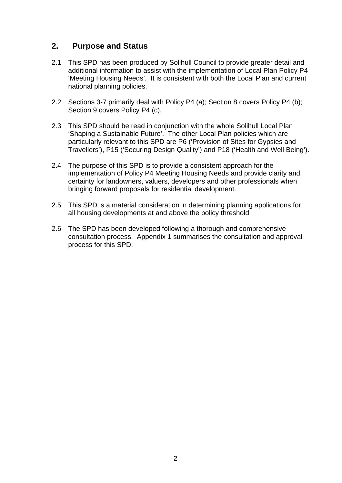## **2. Purpose and Status**

- 2.1 This SPD has been produced by Solihull Council to provide greater detail and additional information to assist with the implementation of Local Plan Policy P4 'Meeting Housing Needs'. It is consistent with both the Local Plan and current national planning policies.
- 2.2 Sections 3-7 primarily deal with Policy P4 (a); Section 8 covers Policy P4 (b); Section 9 covers Policy P4 (c).
- 2.3 This SPD should be read in conjunction with the whole Solihull Local Plan 'Shaping a Sustainable Future'. The other Local Plan policies which are particularly relevant to this SPD are P6 ('Provision of Sites for Gypsies and Travellers'), P15 ('Securing Design Quality') and P18 ('Health and Well Being').
- 2.4 The purpose of this SPD is to provide a consistent approach for the implementation of Policy P4 Meeting Housing Needs and provide clarity and certainty for landowners, valuers, developers and other professionals when bringing forward proposals for residential development.
- 2.5 This SPD is a material consideration in determining planning applications for all housing developments at and above the policy threshold.
- 2.6 The SPD has been developed following a thorough and comprehensive consultation process. Appendix 1 summarises the consultation and approval process for this SPD.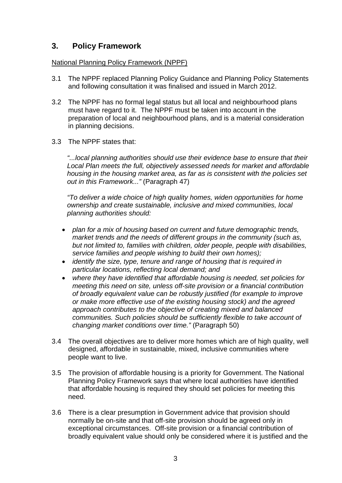## **3. Policy Framework**

#### National Planning Policy Framework (NPPF)

- 3.1 The NPPF replaced Planning Policy Guidance and Planning Policy Statements and following consultation it was finalised and issued in March 2012.
- 3.2 The NPPF has no formal legal status but all local and neighbourhood plans must have regard to it. The NPPF must be taken into account in the preparation of local and neighbourhood plans, and is a material consideration in planning decisions.
- 3.3 The NPPF states that:

*"...local planning authorities should use their evidence base to ensure that their Local Plan meets the full, objectively assessed needs for market and affordable housing in the housing market area, as far as is consistent with the policies set out in this Framework..."* (Paragraph 47)

*"To deliver a wide choice of high quality homes, widen opportunities for home ownership and create sustainable, inclusive and mixed communities, local planning authorities should:* 

- *plan for a mix of housing based on current and future demographic trends, market trends and the needs of different groups in the community (such as, but not limited to, families with children, older people, people with disabilities, service families and people wishing to build their own homes);*
- *identify the size, type, tenure and range of housing that is required in particular locations, reflecting local demand; and*
- *where they have identified that affordable housing is needed, set policies for meeting this need on site, unless off-site provision or a financial contribution of broadly equivalent value can be robustly justified (for example to improve or make more effective use of the existing housing stock) and the agreed approach contributes to the objective of creating mixed and balanced communities. Such policies should be sufficiently flexible to take account of changing market conditions over time."* (Paragraph 50)
- 3.4 The overall objectives are to deliver more homes which are of high quality, well designed, affordable in sustainable, mixed, inclusive communities where people want to live.
- 3.5 The provision of affordable housing is a priority for Government. The National Planning Policy Framework says that where local authorities have identified that affordable housing is required they should set policies for meeting this need.
- 3.6 There is a clear presumption in Government advice that provision should normally be on-site and that off-site provision should be agreed only in exceptional circumstances. Off-site provision or a financial contribution of broadly equivalent value should only be considered where it is justified and the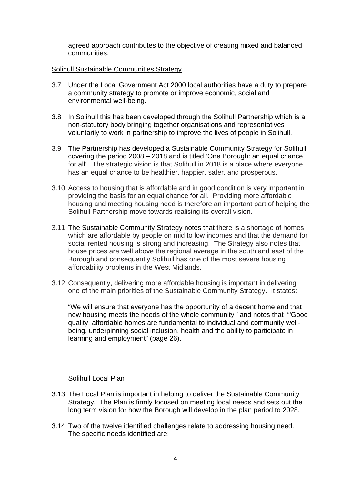agreed approach contributes to the objective of creating mixed and balanced communities.

#### Solihull Sustainable Communities Strategy

- 3.7 Under the Local Government Act 2000 local authorities have a duty to prepare a community strategy to promote or improve economic, social and environmental well-being.
- 3.8 In Solihull this has been developed through the Solihull Partnership which is a non-statutory body bringing together organisations and representatives voluntarily to work in partnership to improve the lives of people in Solihull.
- 3.9 The Partnership has developed a Sustainable Community Strategy for Solihull covering the period 2008 – 2018 and is titled 'One Borough: an equal chance for all'. The strategic vision is that Solihull in 2018 is a place where everyone has an equal chance to be healthier, happier, safer, and prosperous.
- 3.10 Access to housing that is affordable and in good condition is very important in providing the basis for an equal chance for all. Providing more affordable housing and meeting housing need is therefore an important part of helping the Solihull Partnership move towards realising its overall vision.
- 3.11 The Sustainable Community Strategy notes that there is a shortage of homes which are affordable by people on mid to low incomes and that the demand for social rented housing is strong and increasing. The Strategy also notes that house prices are well above the regional average in the south and east of the Borough and consequently Solihull has one of the most severe housing affordability problems in the West Midlands.
- 3.12 Consequently, delivering more affordable housing is important in delivering one of the main priorities of the Sustainable Community Strategy. It states:

"We will ensure that everyone has the opportunity of a decent home and that new housing meets the needs of the whole community'" and notes that "'Good quality, affordable homes are fundamental to individual and community wellbeing, underpinning social inclusion, health and the ability to participate in learning and employment" (page 26).

#### Solihull Local Plan

- 3.13 The Local Plan is important in helping to deliver the Sustainable Community Strategy. The Plan is firmly focused on meeting local needs and sets out the long term vision for how the Borough will develop in the plan period to 2028.
- 3.14 Two of the twelve identified challenges relate to addressing housing need. The specific needs identified are: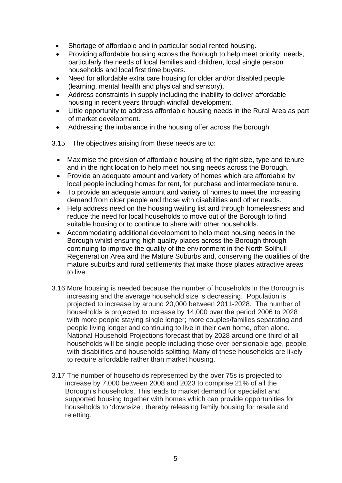- Shortage of affordable and in particular social rented housing.
- Providing affordable housing across the Borough to help meet priority needs, particularly the needs of local families and children, local single person households and local first time buyers.
- Need for affordable extra care housing for older and/or disabled people (learning, mental health and physical and sensory).
- Address constraints in supply including the inability to deliver affordable housing in recent years through windfall development.
- Little opportunity to address affordable housing needs in the Rural Area as part of market development.
- Addressing the imbalance in the housing offer across the borough
- 3.15 The objectives arising from these needs are to:
	- Maximise the provision of affordable housing of the right size, type and tenure and in the right location to help meet housing needs across the Borough.
	- Provide an adequate amount and variety of homes which are affordable by local people including homes for rent, for purchase and intermediate tenure.
	- To provide an adequate amount and variety of homes to meet the increasing demand from older people and those with disabilities and other needs.
	- Help address need on the housing waiting list and through homelessness and reduce the need for local households to move out of the Borough to find suitable housing or to continue to share with other households.
	- Accommodating additional development to help meet housing needs in the Borough whilst ensuring high quality places across the Borough through continuing to improve the quality of the environment in the North Solihull Regeneration Area and the Mature Suburbs and, conserving the qualities of the mature suburbs and rural settlements that make those places attractive areas to live.
- 3.16 More housing is needed because the number of households in the Borough is increasing and the average household size is decreasing. Population is projected to increase by around 20,000 between 2011-2028. The number of households is projected to increase by 14,000 over the period 2006 to 2028 with more people staying single longer; more couples/families separating and people living longer and continuing to live in their own home, often alone. National Household Projections forecast that by 2028 around one third of all households will be single people including those over pensionable age, people with disabilities and households splitting. Many of these households are likely to require affordable rather than market housing.
- 3.17The number of households represented by the over 75s is projected to increase by 7,000 between 2008 and 2023 to comprise 21% of all the Borough's households. This leads to market demand for specialist and supported housing together with homes which can provide opportunities for households to 'downsize', thereby releasing family housing for resale and reletting.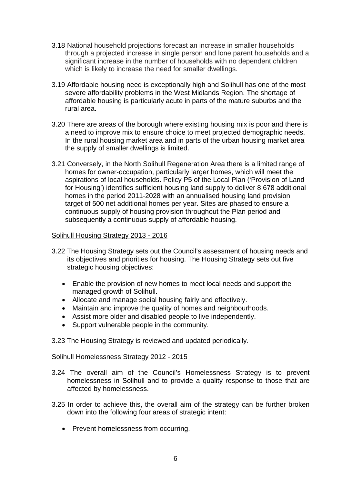- 3.18National household projections forecast an increase in smaller households through a projected increase in single person and lone parent households and a significant increase in the number of households with no dependent children which is likely to increase the need for smaller dwellings.
- 3.19 Affordable housing need is exceptionally high and Solihull has one of the most severe affordability problems in the West Midlands Region. The shortage of affordable housing is particularly acute in parts of the mature suburbs and the rural area.
- 3.20There are areas of the borough where existing housing mix is poor and there is a need to improve mix to ensure choice to meet projected demographic needs. In the rural housing market area and in parts of the urban housing market area the supply of smaller dwellings is limited.
- 3.21 Conversely, in the North Solihull Regeneration Area there is a limited range of homes for owner-occupation, particularly larger homes, which will meet the aspirations of local households. Policy P5 of the Local Plan ('Provision of Land for Housing') identifies sufficient housing land supply to deliver 8,678 additional homes in the period 2011-2028 with an annualised housing land provision target of 500 net additional homes per year. Sites are phased to ensure a continuous supply of housing provision throughout the Plan period and subsequently a continuous supply of affordable housing.

#### Solihull Housing Strategy 2013 - 2016

- 3.22 The Housing Strategy sets out the Council's assessment of housing needs and its objectives and priorities for housing. The Housing Strategy sets out five strategic housing objectives:
	- Enable the provision of new homes to meet local needs and support the managed growth of Solihull.
	- Allocate and manage social housing fairly and effectively.
	- Maintain and improve the quality of homes and neighbourhoods.
	- Assist more older and disabled people to live independently.
	- Support vulnerable people in the community.
- 3.23 The Housing Strategy is reviewed and updated periodically.

#### Solihull Homelessness Strategy 2012 - 2015

- 3.24 The overall aim of the Council's Homelessness Strategy is to prevent homelessness in Solihull and to provide a quality response to those that are affected by homelessness.
- 3.25 In order to achieve this, the overall aim of the strategy can be further broken down into the following four areas of strategic intent:
	- Prevent homelessness from occurring.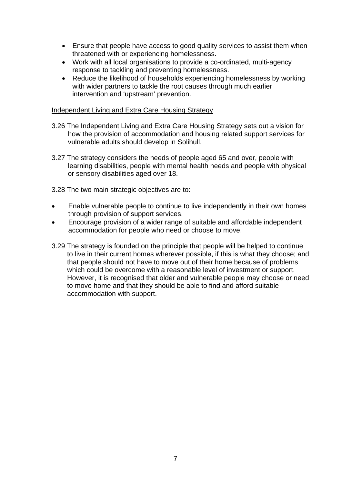- Ensure that people have access to good quality services to assist them when threatened with or experiencing homelessness.
- Work with all local organisations to provide a co-ordinated, multi-agency response to tackling and preventing homelessness.
- Reduce the likelihood of households experiencing homelessness by working with wider partners to tackle the root causes through much earlier intervention and 'upstream' prevention.

#### Independent Living and Extra Care Housing Strategy

- 3.26 The Independent Living and Extra Care Housing Strategy sets out a vision for how the provision of accommodation and housing related support services for vulnerable adults should develop in Solihull.
- 3.27 The strategy considers the needs of people aged 65 and over, people with learning disabilities, people with mental health needs and people with physical or sensory disabilities aged over 18.
- 3.28 The two main strategic objectives are to:
- Enable vulnerable people to continue to live independently in their own homes through provision of support services.
- Encourage provision of a wider range of suitable and affordable independent accommodation for people who need or choose to move.
- 3.29 The strategy is founded on the principle that people will be helped to continue to live in their current homes wherever possible, if this is what they choose; and that people should not have to move out of their home because of problems which could be overcome with a reasonable level of investment or support. However, it is recognised that older and vulnerable people may choose or need to move home and that they should be able to find and afford suitable accommodation with support.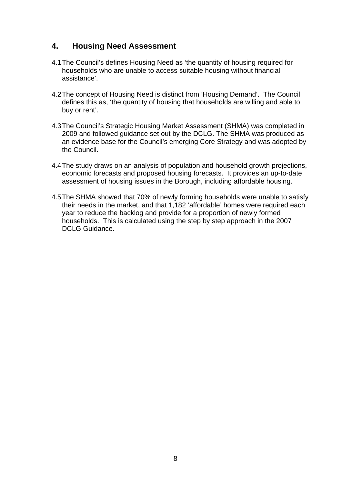## **4. Housing Need Assessment**

- 4.1 The Council's defines Housing Need as 'the quantity of housing required for households who are unable to access suitable housing without financial assistance'.
- 4.2 The concept of Housing Need is distinct from 'Housing Demand'. The Council defines this as, 'the quantity of housing that households are willing and able to buy or rent'.
- 4.3 The Council's Strategic Housing Market Assessment (SHMA) was completed in 2009 and followed guidance set out by the DCLG. The SHMA was produced as an evidence base for the Council's emerging Core Strategy and was adopted by the Council.
- 4.4 The study draws on an analysis of population and household growth projections, economic forecasts and proposed housing forecasts. It provides an up-to-date assessment of housing issues in the Borough, including affordable housing.
- 4.5 The SHMA showed that 70% of newly forming households were unable to satisfy their needs in the market, and that 1,182 'affordable' homes were required each year to reduce the backlog and provide for a proportion of newly formed households. This is calculated using the step by step approach in the 2007 DCLG Guidance.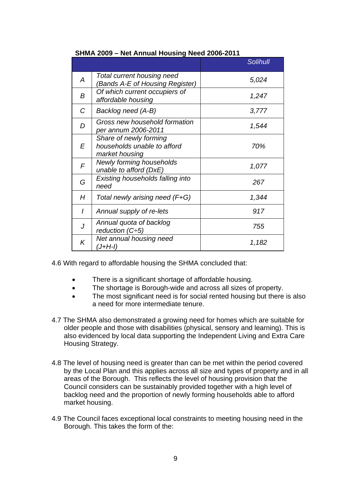|   |                                                                         | <b>Solihull</b> |
|---|-------------------------------------------------------------------------|-----------------|
| A | Total current housing need<br>(Bands A-E of Housing Register)           | 5,024           |
| B | Of which current occupiers of<br>affordable housing                     | 1,247           |
| C | Backlog need (A-B)                                                      | 3,777           |
| D | Gross new household formation<br>per annum 2006-2011                    | 1,544           |
| E | Share of newly forming<br>households unable to afford<br>market housing | 70%             |
| F | <b>Newly forming households</b><br>unable to afford (DxE)               | 1,077           |
| G | Existing households falling into<br>need                                | 267             |
| Н | Total newly arising need (F+G)                                          | 1,344           |
| I | Annual supply of re-lets                                                | 917             |
|   | Annual quota of backlog<br>reduction $(C\div 5)$                        | 755             |
| K | Net annual housing need<br>(J+H-I)                                      | 1,182           |

4.6 With regard to affordable housing the SHMA concluded that:

- There is a significant shortage of affordable housing.
- The shortage is Borough-wide and across all sizes of property.
- The most significant need is for social rented housing but there is also a need for more intermediate tenure.
- 4.7 The SHMA also demonstrated a growing need for homes which are suitable for older people and those with disabilities (physical, sensory and learning). This is also evidenced by local data supporting the Independent Living and Extra Care Housing Strategy.
- 4.8 The level of housing need is greater than can be met within the period covered by the Local Plan and this applies across all size and types of property and in all areas of the Borough. This reflects the level of housing provision that the Council considers can be sustainably provided together with a high level of backlog need and the proportion of newly forming households able to afford market housing.
- 4.9 The Council faces exceptional local constraints to meeting housing need in the Borough. This takes the form of the: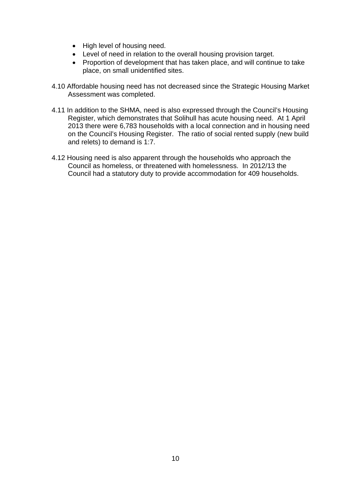- High level of housing need.
- Level of need in relation to the overall housing provision target.
- Proportion of development that has taken place, and will continue to take place, on small unidentified sites.
- 4.10 Affordable housing need has not decreased since the Strategic Housing Market Assessment was completed.
- 4.11 In addition to the SHMA, need is also expressed through the Council's Housing Register, which demonstrates that Solihull has acute housing need. At 1 April 2013 there were 6,783 households with a local connection and in housing need on the Council's Housing Register. The ratio of social rented supply (new build and relets) to demand is 1:7.
- 4.12 Housing need is also apparent through the households who approach the Council as homeless, or threatened with homelessness. In 2012/13 the Council had a statutory duty to provide accommodation for 409 households.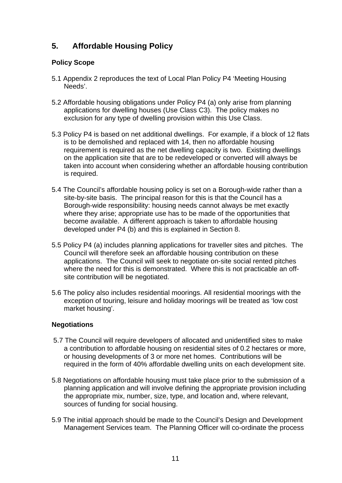# **5. Affordable Housing Policy**

## **Policy Scope**

- 5.1 Appendix 2 reproduces the text of Local Plan Policy P4 'Meeting Housing Needs'.
- 5.2 Affordable housing obligations under Policy P4 (a) only arise from planning applications for dwelling houses (Use Class C3). The policy makes no exclusion for any type of dwelling provision within this Use Class.
- 5.3 Policy P4 is based on net additional dwellings. For example, if a block of 12 flats is to be demolished and replaced with 14, then no affordable housing requirement is required as the net dwelling capacity is two. Existing dwellings on the application site that are to be redeveloped or converted will always be taken into account when considering whether an affordable housing contribution is required.
- 5.4 The Council's affordable housing policy is set on a Borough-wide rather than a site-by-site basis. The principal reason for this is that the Council has a Borough-wide responsibility: housing needs cannot always be met exactly where they arise; appropriate use has to be made of the opportunities that become available. A different approach is taken to affordable housing developed under P4 (b) and this is explained in Section 8.
- 5.5 Policy P4 (a) includes planning applications for traveller sites and pitches. The Council will therefore seek an affordable housing contribution on these applications. The Council will seek to negotiate on-site social rented pitches where the need for this is demonstrated. Where this is not practicable an offsite contribution will be negotiated.
- 5.6 The policy also includes residential moorings. All residential moorings with the exception of touring, leisure and holiday moorings will be treated as 'low cost market housing'.

## **Negotiations**

- 5.7 The Council will require developers of allocated and unidentified sites to make a contribution to affordable housing on residential sites of 0.2 hectares or more, or housing developments of 3 or more net homes. Contributions will be required in the form of 40% affordable dwelling units on each development site.
- 5.8 Negotiations on affordable housing must take place prior to the submission of a planning application and will involve defining the appropriate provision including the appropriate mix, number, size, type, and location and, where relevant, sources of funding for social housing.
- 5.9 The initial approach should be made to the Council's Design and Development Management Services team. The Planning Officer will co-ordinate the process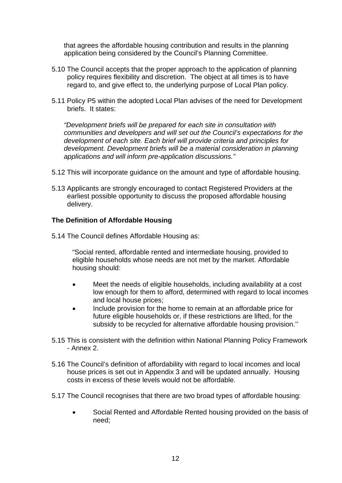that agrees the affordable housing contribution and results in the planning application being considered by the Council's Planning Committee.

- 5.10 The Council accepts that the proper approach to the application of planning policy requires flexibility and discretion. The object at all times is to have regard to, and give effect to, the underlying purpose of Local Plan policy.
- 5.11 Policy P5 within the adopted Local Plan advises of the need for Development briefs. It states:

*"Development briefs will be prepared for each site in consultation with communities and developers and will set out the Council's expectations for the development of each site. Each brief will provide criteria and principles for development. Development briefs will be a material consideration in planning applications and will inform pre-application discussions."* 

- 5.12 This will incorporate guidance on the amount and type of affordable housing.
- 5.13 Applicants are strongly encouraged to contact Registered Providers at the earliest possible opportunity to discuss the proposed affordable housing delivery.

#### **The Definition of Affordable Housing**

5.14 The Council defines Affordable Housing as:

"Social rented, affordable rented and intermediate housing, provided to eligible households whose needs are not met by the market. Affordable housing should:

- Meet the needs of eligible households, including availability at a cost low enough for them to afford, determined with regard to local incomes and local house prices;
- Include provision for the home to remain at an affordable price for future eligible households or, if these restrictions are lifted, for the subsidy to be recycled for alternative affordable housing provision.''
- 5.15 This is consistent with the definition within National Planning Policy Framework - Annex 2.
- 5.16 The Council's definition of affordability with regard to local incomes and local house prices is set out in Appendix 3 and will be updated annually. Housing costs in excess of these levels would not be affordable.
- 5.17 The Council recognises that there are two broad types of affordable housing:
	- Social Rented and Affordable Rented housing provided on the basis of need;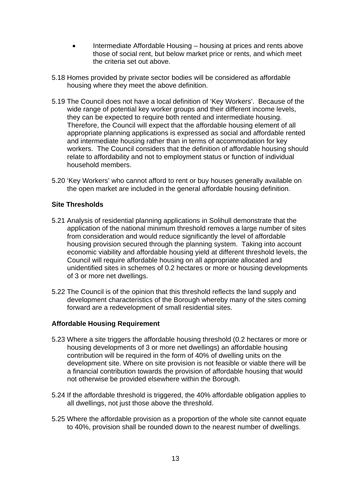- Intermediate Affordable Housing housing at prices and rents above those of social rent, but below market price or rents, and which meet the criteria set out above.
- 5.18 Homes provided by private sector bodies will be considered as affordable housing where they meet the above definition.
- 5.19 The Council does not have a local definition of 'Key Workers'. Because of the wide range of potential key worker groups and their different income levels, they can be expected to require both rented and intermediate housing. Therefore, the Council will expect that the affordable housing element of all appropriate planning applications is expressed as social and affordable rented and intermediate housing rather than in terms of accommodation for key workers. The Council considers that the definition of affordable housing should relate to affordability and not to employment status or function of individual household members.
- 5.20 'Key Workers' who cannot afford to rent or buy houses generally available on the open market are included in the general affordable housing definition.

#### **Site Thresholds**

- 5.21 Analysis of residential planning applications in Solihull demonstrate that the application of the national minimum threshold removes a large number of sites from consideration and would reduce significantly the level of affordable housing provision secured through the planning system. Taking into account economic viability and affordable housing yield at different threshold levels, the Council will require affordable housing on all appropriate allocated and unidentified sites in schemes of 0.2 hectares or more or housing developments of 3 or more net dwellings.
- 5.22 The Council is of the opinion that this threshold reflects the land supply and development characteristics of the Borough whereby many of the sites coming forward are a redevelopment of small residential sites.

#### **Affordable Housing Requirement**

- 5.23 Where a site triggers the affordable housing threshold (0.2 hectares or more or housing developments of 3 or more net dwellings) an affordable housing contribution will be required in the form of 40% of dwelling units on the development site. Where on site provision is not feasible or viable there will be a financial contribution towards the provision of affordable housing that would not otherwise be provided elsewhere within the Borough.
- 5.24 If the affordable threshold is triggered, the 40% affordable obligation applies to all dwellings, not just those above the threshold.
- 5.25 Where the affordable provision as a proportion of the whole site cannot equate to 40%, provision shall be rounded down to the nearest number of dwellings.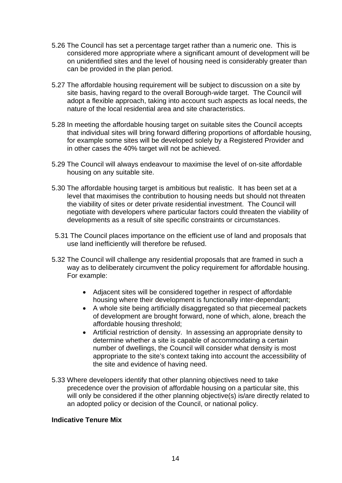- 5.26 The Council has set a percentage target rather than a numeric one. This is considered more appropriate where a significant amount of development will be on unidentified sites and the level of housing need is considerably greater than can be provided in the plan period.
- 5.27 The affordable housing requirement will be subject to discussion on a site by site basis, having regard to the overall Borough-wide target. The Council will adopt a flexible approach, taking into account such aspects as local needs, the nature of the local residential area and site characteristics.
- 5.28 In meeting the affordable housing target on suitable sites the Council accepts that individual sites will bring forward differing proportions of affordable housing, for example some sites will be developed solely by a Registered Provider and in other cases the 40% target will not be achieved.
- 5.29 The Council will always endeavour to maximise the level of on-site affordable housing on any suitable site.
- 5.30 The affordable housing target is ambitious but realistic. It has been set at a level that maximises the contribution to housing needs but should not threaten the viability of sites or deter private residential investment. The Council will negotiate with developers where particular factors could threaten the viability of developments as a result of site specific constraints or circumstances.
- 5.31 The Council places importance on the efficient use of land and proposals that use land inefficiently will therefore be refused.
- 5.32 The Council will challenge any residential proposals that are framed in such a way as to deliberately circumvent the policy requirement for affordable housing. For example:
	- Adiacent sites will be considered together in respect of affordable housing where their development is functionally inter-dependant;
	- A whole site being artificially disaggregated so that piecemeal packets of development are brought forward, none of which, alone, breach the affordable housing threshold;
	- Artificial restriction of density. In assessing an appropriate density to determine whether a site is capable of accommodating a certain number of dwellings, the Council will consider what density is most appropriate to the site's context taking into account the accessibility of the site and evidence of having need.
- 5.33 Where developers identify that other planning objectives need to take precedence over the provision of affordable housing on a particular site, this will only be considered if the other planning objective(s) is/are directly related to an adopted policy or decision of the Council, or national policy.

#### **Indicative Tenure Mix**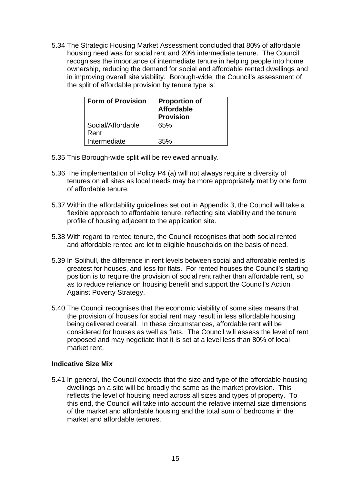5.34 The Strategic Housing Market Assessment concluded that 80% of affordable housing need was for social rent and 20% intermediate tenure. The Council recognises the importance of intermediate tenure in helping people into home ownership, reducing the demand for social and affordable rented dwellings and in improving overall site viability. Borough-wide, the Council's assessment of the split of affordable provision by tenure type is:

| <b>Form of Provision</b>  | <b>Proportion of</b><br><b>Affordable</b><br><b>Provision</b> |
|---------------------------|---------------------------------------------------------------|
| Social/Affordable<br>Rent | 65%                                                           |
| Intermediate              | 35%                                                           |

- 5.35 This Borough-wide split will be reviewed annually.
- 5.36 The implementation of Policy P4 (a) will not always require a diversity of tenures on all sites as local needs may be more appropriately met by one form of affordable tenure.
- 5.37 Within the affordability guidelines set out in Appendix 3, the Council will take a flexible approach to affordable tenure, reflecting site viability and the tenure profile of housing adjacent to the application site.
- 5.38 With regard to rented tenure, the Council recognises that both social rented and affordable rented are let to eligible households on the basis of need.
- 5.39 In Solihull, the difference in rent levels between social and affordable rented is greatest for houses, and less for flats. For rented houses the Council's starting position is to require the provision of social rent rather than affordable rent, so as to reduce reliance on housing benefit and support the Council's Action Against Poverty Strategy.
- 5.40 The Council recognises that the economic viability of some sites means that the provision of houses for social rent may result in less affordable housing being delivered overall. In these circumstances, affordable rent will be considered for houses as well as flats. The Council will assess the level of rent proposed and may negotiate that it is set at a level less than 80% of local market rent.

#### **Indicative Size Mix**

5.41 In general, the Council expects that the size and type of the affordable housing dwellings on a site will be broadly the same as the market provision. This reflects the level of housing need across all sizes and types of property. To this end, the Council will take into account the relative internal size dimensions of the market and affordable housing and the total sum of bedrooms in the market and affordable tenures.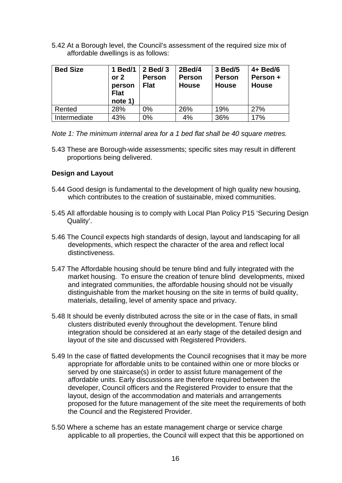5.42 At a Borough level, the Council's assessment of the required size mix of affordable dwellings is as follows:

| <b>Bed Size</b> | 1 Bed/1<br>or $2$<br>person<br><b>Flat</b><br>note 1) | 2 Bed/ 3<br><b>Person</b><br><b>Flat</b> | 2Bed/4<br><b>Person</b><br><b>House</b> | 3 Bed/5<br><b>Person</b><br><b>House</b> | $4+$ Bed/6<br>Person +<br><b>House</b> |
|-----------------|-------------------------------------------------------|------------------------------------------|-----------------------------------------|------------------------------------------|----------------------------------------|
| Rented          | 28%                                                   | 0%                                       | 26%                                     | 19%                                      | 27%                                    |
| Intermediate    | 43%                                                   | $0\%$                                    | 4%                                      | 36%                                      | 17%                                    |

*Note 1: The minimum internal area for a 1 bed flat shall be 40 square metres.* 

5.43 These are Borough-wide assessments; specific sites may result in different proportions being delivered.

#### **Design and Layout**

- 5.44 Good design is fundamental to the development of high quality new housing, which contributes to the creation of sustainable, mixed communities.
- 5.45 All affordable housing is to comply with Local Plan Policy P15 'Securing Design Quality'.
- 5.46 The Council expects high standards of design, layout and landscaping for all developments, which respect the character of the area and reflect local distinctiveness.
- 5.47 The Affordable housing should be tenure blind and fully integrated with the market housing. To ensure the creation of tenure blind developments, mixed and integrated communities, the affordable housing should not be visually distinguishable from the market housing on the site in terms of build quality, materials, detailing, level of amenity space and privacy.
- 5.48 It should be evenly distributed across the site or in the case of flats, in small clusters distributed evenly throughout the development. Tenure blind integration should be considered at an early stage of the detailed design and layout of the site and discussed with Registered Providers.
- 5.49 In the case of flatted developments the Council recognises that it may be more appropriate for affordable units to be contained within one or more blocks or served by one staircase(s) in order to assist future management of the affordable units. Early discussions are therefore required between the developer, Council officers and the Registered Provider to ensure that the layout, design of the accommodation and materials and arrangements proposed for the future management of the site meet the requirements of both the Council and the Registered Provider.
- 5.50 Where a scheme has an estate management charge or service charge applicable to all properties, the Council will expect that this be apportioned on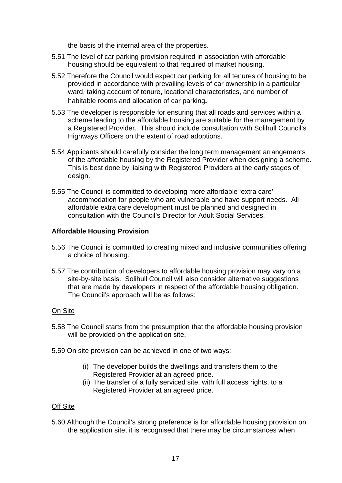the basis of the internal area of the properties.

- 5.51 The level of car parking provision required in association with affordable housing should be equivalent to that required of market housing.
- 5.52 Therefore the Council would expect car parking for all tenures of housing to be provided in accordance with prevailing levels of car ownership in a particular ward, taking account of tenure, locational characteristics, and number of habitable rooms and allocation of car parking*.*
- 5.53 The developer is responsible for ensuring that all roads and services within a scheme leading to the affordable housing are suitable for the management by a Registered Provider. This should include consultation with Solihull Council's Highways Officers on the extent of road adoptions.
- 5.54 Applicants should carefully consider the long term management arrangements of the affordable housing by the Registered Provider when designing a scheme. This is best done by liaising with Registered Providers at the early stages of design.
- 5.55 The Council is committed to developing more affordable 'extra care' accommodation for people who are vulnerable and have support needs. All affordable extra care development must be planned and designed in consultation with the Council's Director for Adult Social Services.

## **Affordable Housing Provision**

- 5.56 The Council is committed to creating mixed and inclusive communities offering a choice of housing.
- 5.57 The contribution of developers to affordable housing provision may vary on a site-by-site basis. Solihull Council will also consider alternative suggestions that are made by developers in respect of the affordable housing obligation. The Council's approach will be as follows:

#### On Site

- 5.58 The Council starts from the presumption that the affordable housing provision will be provided on the application site.
- 5.59 On site provision can be achieved in one of two ways:
	- (i) The developer builds the dwellings and transfers them to the Registered Provider at an agreed price.
	- (ii) The transfer of a fully serviced site, with full access rights, to a Registered Provider at an agreed price.

#### Off Site

5.60 Although the Council's strong preference is for affordable housing provision on the application site, it is recognised that there may be circumstances when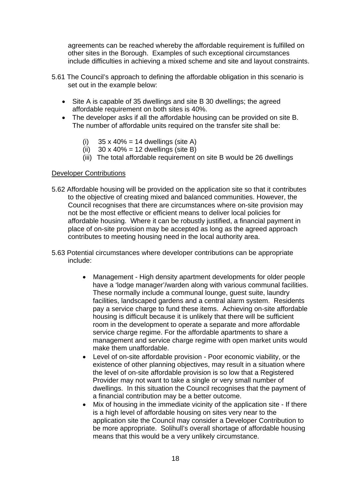agreements can be reached whereby the affordable requirement is fulfilled on other sites in the Borough. Examples of such exceptional circumstances include difficulties in achieving a mixed scheme and site and layout constraints.

- 5.61 The Council's approach to defining the affordable obligation in this scenario is set out in the example below:
	- Site A is capable of 35 dwellings and site B 30 dwellings; the agreed affordable requirement on both sites is 40%.
	- The developer asks if all the affordable housing can be provided on site B. The number of affordable units required on the transfer site shall be:
		- (i)  $35 \times 40\% = 14$  dwellings (site A)
		- (ii)  $30 \times 40\% = 12$  dwellings (site B)
		- (iii) The total affordable requirement on site B would be 26 dwellings

#### Developer Contributions

- 5.62 Affordable housing will be provided on the application site so that it contributes to the objective of creating mixed and balanced communities. However, the Council recognises that there are circumstances where on-site provision may not be the most effective or efficient means to deliver local policies for affordable housing. Where it can be robustly justified, a financial payment in place of on-site provision may be accepted as long as the agreed approach contributes to meeting housing need in the local authority area.
- 5.63 Potential circumstances where developer contributions can be appropriate include:
	- Management High density apartment developments for older people have a 'lodge manager'/warden along with various communal facilities. These normally include a communal lounge, guest suite, laundry facilities, landscaped gardens and a central alarm system. Residents pay a service charge to fund these items. Achieving on-site affordable housing is difficult because it is unlikely that there will be sufficient room in the development to operate a separate and more affordable service charge regime. For the affordable apartments to share a management and service charge regime with open market units would make them unaffordable.
	- Level of on-site affordable provision Poor economic viability, or the existence of other planning objectives, may result in a situation where the level of on-site affordable provision is so low that a Registered Provider may not want to take a single or very small number of dwellings. In this situation the Council recognises that the payment of a financial contribution may be a better outcome.
	- Mix of housing in the immediate vicinity of the application site If there is a high level of affordable housing on sites very near to the application site the Council may consider a Developer Contribution to be more appropriate. Solihull's overall shortage of affordable housing means that this would be a very unlikely circumstance.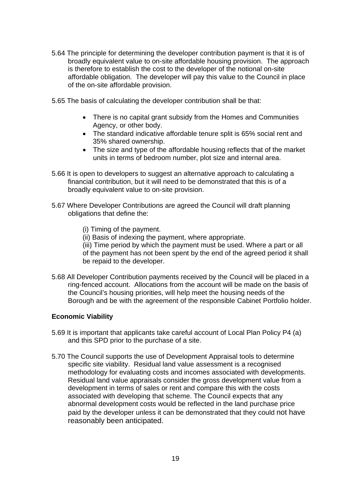- 5.64 The principle for determining the developer contribution payment is that it is of broadly equivalent value to on-site affordable housing provision. The approach is therefore to establish the cost to the developer of the notional on-site affordable obligation. The developer will pay this value to the Council in place of the on-site affordable provision.
- 5.65 The basis of calculating the developer contribution shall be that:
	- There is no capital grant subsidy from the Homes and Communities Agency, or other body.
	- The standard indicative affordable tenure split is 65% social rent and 35% shared ownership.
	- The size and type of the affordable housing reflects that of the market units in terms of bedroom number, plot size and internal area.
- 5.66 It is open to developers to suggest an alternative approach to calculating a financial contribution, but it will need to be demonstrated that this is of a broadly equivalent value to on-site provision.
- 5.67 Where Developer Contributions are agreed the Council will draft planning obligations that define the:
	- (i) Timing of the payment.
	- (ii) Basis of indexing the payment, where appropriate.

(iii) Time period by which the payment must be used. Where a part or all of the payment has not been spent by the end of the agreed period it shall be repaid to the developer.

5.68 All Developer Contribution payments received by the Council will be placed in a ring-fenced account. Allocations from the account will be made on the basis of the Council's housing priorities, will help meet the housing needs of the Borough and be with the agreement of the responsible Cabinet Portfolio holder.

#### **Economic Viability**

- 5.69 It is important that applicants take careful account of Local Plan Policy P4 (a) and this SPD prior to the purchase of a site.
- 5.70 The Council supports the use of Development Appraisal tools to determine specific site viability. Residual land value assessment is a recognised methodology for evaluating costs and incomes associated with developments. Residual land value appraisals consider the gross development value from a development in terms of sales or rent and compare this with the costs associated with developing that scheme. The Council expects that any abnormal development costs would be reflected in the land purchase price paid by the developer unless it can be demonstrated that they could not have reasonably been anticipated.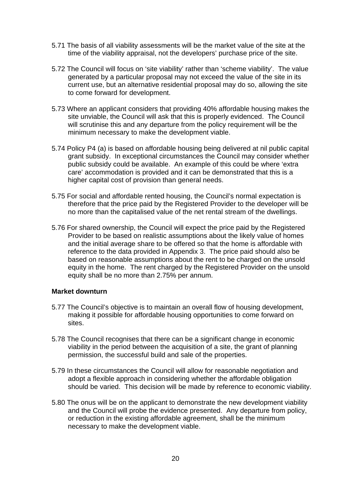- 5.71 The basis of all viability assessments will be the market value of the site at the time of the viability appraisal, not the developers' purchase price of the site.
- 5.72 The Council will focus on 'site viability' rather than 'scheme viability'. The value generated by a particular proposal may not exceed the value of the site in its current use, but an alternative residential proposal may do so, allowing the site to come forward for development.
- 5.73 Where an applicant considers that providing 40% affordable housing makes the site unviable, the Council will ask that this is properly evidenced. The Council will scrutinise this and any departure from the policy requirement will be the minimum necessary to make the development viable.
- 5.74 Policy P4 (a) is based on affordable housing being delivered at nil public capital grant subsidy. In exceptional circumstances the Council may consider whether public subsidy could be available. An example of this could be where 'extra care' accommodation is provided and it can be demonstrated that this is a higher capital cost of provision than general needs.
- 5.75 For social and affordable rented housing, the Council's normal expectation is therefore that the price paid by the Registered Provider to the developer will be no more than the capitalised value of the net rental stream of the dwellings.
- 5.76 For shared ownership, the Council will expect the price paid by the Registered Provider to be based on realistic assumptions about the likely value of homes and the initial average share to be offered so that the home is affordable with reference to the data provided in Appendix 3. The price paid should also be based on reasonable assumptions about the rent to be charged on the unsold equity in the home. The rent charged by the Registered Provider on the unsold equity shall be no more than 2.75% per annum.

#### **Market downturn**

- 5.77 The Council's objective is to maintain an overall flow of housing development, making it possible for affordable housing opportunities to come forward on sites.
- 5.78 The Council recognises that there can be a significant change in economic viability in the period between the acquisition of a site, the grant of planning permission, the successful build and sale of the properties.
- 5.79 In these circumstances the Council will allow for reasonable negotiation and adopt a flexible approach in considering whether the affordable obligation should be varied. This decision will be made by reference to economic viability.
- 5.80 The onus will be on the applicant to demonstrate the new development viability and the Council will probe the evidence presented. Any departure from policy, or reduction in the existing affordable agreement, shall be the minimum necessary to make the development viable.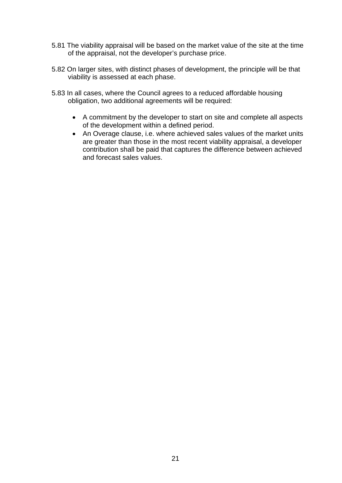- 5.81 The viability appraisal will be based on the market value of the site at the time of the appraisal, not the developer's purchase price.
- 5.82 On larger sites, with distinct phases of development, the principle will be that viability is assessed at each phase.
- 5.83 In all cases, where the Council agrees to a reduced affordable housing obligation, two additional agreements will be required:
	- A commitment by the developer to start on site and complete all aspects of the development within a defined period.
	- An Overage clause, i.e. where achieved sales values of the market units are greater than those in the most recent viability appraisal, a developer contribution shall be paid that captures the difference between achieved and forecast sales values.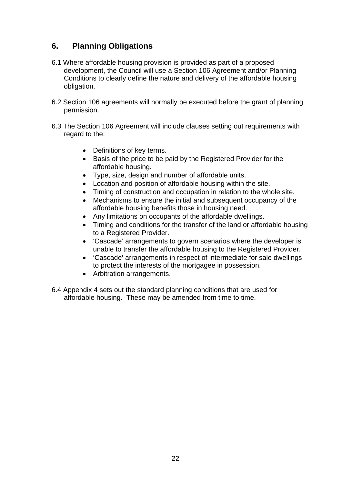# **6. Planning Obligations**

- 6.1 Where affordable housing provision is provided as part of a proposed development, the Council will use a Section 106 Agreement and/or Planning Conditions to clearly define the nature and delivery of the affordable housing obligation.
- 6.2 Section 106 agreements will normally be executed before the grant of planning permission.
- 6.3 The Section 106 Agreement will include clauses setting out requirements with regard to the:
	- Definitions of key terms.
	- Basis of the price to be paid by the Registered Provider for the affordable housing.
	- Type, size, design and number of affordable units.
	- Location and position of affordable housing within the site.
	- Timing of construction and occupation in relation to the whole site.
	- Mechanisms to ensure the initial and subsequent occupancy of the affordable housing benefits those in housing need.
	- Any limitations on occupants of the affordable dwellings.
	- Timing and conditions for the transfer of the land or affordable housing to a Registered Provider.
	- 'Cascade' arrangements to govern scenarios where the developer is unable to transfer the affordable housing to the Registered Provider.
	- 'Cascade' arrangements in respect of intermediate for sale dwellings to protect the interests of the mortgagee in possession.
	- Arbitration arrangements.
- 6.4 Appendix 4 sets out the standard planning conditions that are used for affordable housing. These may be amended from time to time.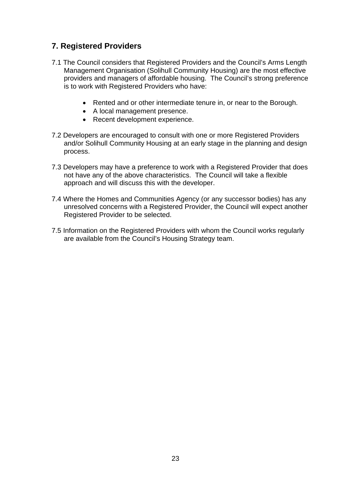# **7. Registered Providers**

- 7.1 The Council considers that Registered Providers and the Council's Arms Length Management Organisation (Solihull Community Housing) are the most effective providers and managers of affordable housing. The Council's strong preference is to work with Registered Providers who have:
	- Rented and or other intermediate tenure in, or near to the Borough.
	- A local management presence.
	- Recent development experience.
- 7.2 Developers are encouraged to consult with one or more Registered Providers and/or Solihull Community Housing at an early stage in the planning and design process.
- 7.3 Developers may have a preference to work with a Registered Provider that does not have any of the above characteristics. The Council will take a flexible approach and will discuss this with the developer.
- 7.4 Where the Homes and Communities Agency (or any successor bodies) has any unresolved concerns with a Registered Provider, the Council will expect another Registered Provider to be selected.
- 7.5 Information on the Registered Providers with whom the Council works regularly are available from the Council's Housing Strategy team.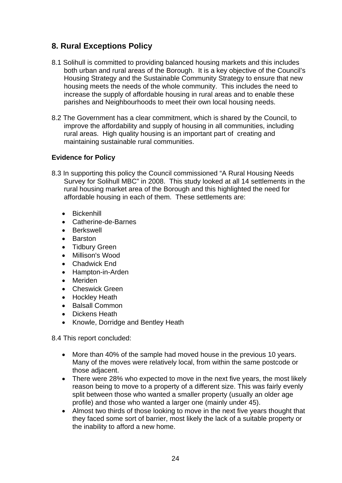# **8. Rural Exceptions Policy**

- 8.1 Solihull is committed to providing balanced housing markets and this includes both urban and rural areas of the Borough. It is a key objective of the Council's Housing Strategy and the Sustainable Community Strategy to ensure that new housing meets the needs of the whole community. This includes the need to increase the supply of affordable housing in rural areas and to enable these parishes and Neighbourhoods to meet their own local housing needs.
- 8.2 The Government has a clear commitment, which is shared by the Council, to improve the affordability and supply of housing in all communities, including rural areas. High quality housing is an important part of creating and maintaining sustainable rural communities.

## **Evidence for Policy**

- 8.3 In supporting this policy the Council commissioned "A Rural Housing Needs Survey for Solihull MBC" in 2008. This study looked at all 14 settlements in the rural housing market area of the Borough and this highlighted the need for affordable housing in each of them. These settlements are:
	- **•** Bickenhill
	- Catherine-de-Barnes
	- **•** Berkswell
	- Barston
	- Tidbury Green
	- Millison's Wood
	- Chadwick End
	- Hampton-in-Arden
	- Meriden
	- Cheswick Green
	- Hockley Heath
	- Balsall Common
	- Dickens Heath
	- Knowle, Dorridge and Bentley Heath

8.4 This report concluded:

- More than 40% of the sample had moved house in the previous 10 years. Many of the moves were relatively local, from within the same postcode or those adjacent.
- There were 28% who expected to move in the next five years, the most likely reason being to move to a property of a different size. This was fairly evenly split between those who wanted a smaller property (usually an older age profile) and those who wanted a larger one (mainly under 45).
- Almost two thirds of those looking to move in the next five years thought that they faced some sort of barrier, most likely the lack of a suitable property or the inability to afford a new home.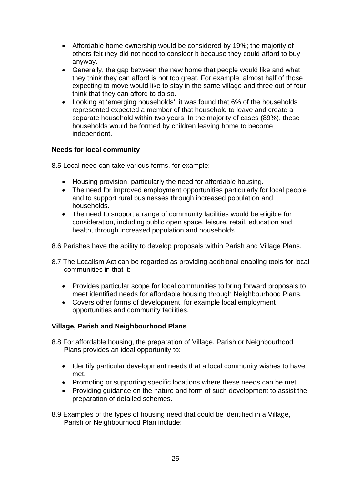- Affordable home ownership would be considered by 19%; the majority of others felt they did not need to consider it because they could afford to buy anyway.
- Generally, the gap between the new home that people would like and what they think they can afford is not too great. For example, almost half of those expecting to move would like to stay in the same village and three out of four think that they can afford to do so.
- Looking at 'emerging households', it was found that 6% of the households represented expected a member of that household to leave and create a separate household within two years. In the majority of cases (89%), these households would be formed by children leaving home to become independent.

## **Needs for local community**

8.5 Local need can take various forms, for example:

- Housing provision, particularly the need for affordable housing.
- The need for improved employment opportunities particularly for local people and to support rural businesses through increased population and households.
- The need to support a range of community facilities would be eligible for consideration, including public open space, leisure, retail, education and health, through increased population and households.
- 8.6 Parishes have the ability to develop proposals within Parish and Village Plans.
- 8.7 The Localism Act can be regarded as providing additional enabling tools for local communities in that it:
	- Provides particular scope for local communities to bring forward proposals to meet identified needs for affordable housing through Neighbourhood Plans.
	- Covers other forms of development, for example local employment opportunities and community facilities.

## **Village, Parish and Neighbourhood Plans**

- 8.8 For affordable housing, the preparation of Village, Parish or Neighbourhood Plans provides an ideal opportunity to:
	- Identify particular development needs that a local community wishes to have met.
	- Promoting or supporting specific locations where these needs can be met.
	- Providing guidance on the nature and form of such development to assist the preparation of detailed schemes.
- 8.9 Examples of the types of housing need that could be identified in a Village, Parish or Neighbourhood Plan include: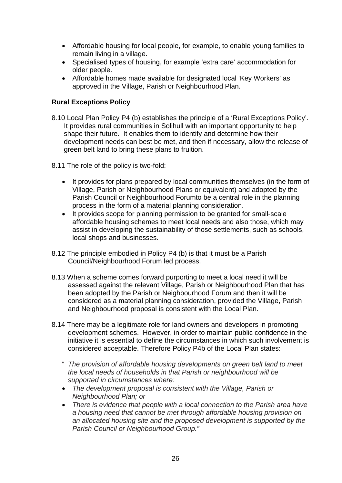- Affordable housing for local people, for example, to enable young families to remain living in a village.
- Specialised types of housing, for example 'extra care' accommodation for older people.
- Affordable homes made available for designated local 'Key Workers' as approved in the Village, Parish or Neighbourhood Plan.

## **Rural Exceptions Policy**

- 8.10 Local Plan Policy P4 (b) establishes the principle of a 'Rural Exceptions Policy'. It provides rural communities in Solihull with an important opportunity to help shape their future. It enables them to identify and determine how their development needs can best be met, and then if necessary, allow the release of green belt land to bring these plans to fruition.
- 8.11 The role of the policy is two-fold:
	- It provides for plans prepared by local communities themselves (in the form of Village, Parish or Neighbourhood Plans or equivalent) and adopted by the Parish Council or Neighbourhood Forumto be a central role in the planning process in the form of a material planning consideration.
	- It provides scope for planning permission to be granted for small-scale affordable housing schemes to meet local needs and also those, which may assist in developing the sustainability of those settlements, such as schools, local shops and businesses.
- 8.12 The principle embodied in Policy P4 (b) is that it must be a Parish Council/Neighbourhood Forum led process.
- 8.13 When a scheme comes forward purporting to meet a local need it will be assessed against the relevant Village, Parish or Neighbourhood Plan that has been adopted by the Parish or Neighbourhood Forum and then it will be considered as a material planning consideration, provided the Village, Parish and Neighbourhood proposal is consistent with the Local Plan.
- 8.14 There may be a legitimate role for land owners and developers in promoting development schemes. However, in order to maintain public confidence in the initiative it is essential to define the circumstances in which such involvement is considered acceptable. Therefore Policy P4b of the Local Plan states:
	- " *The provision of affordable housing developments on green belt land to meet the local needs of households in that Parish or neighbourhood will be supported in circumstances where:*
	- *The development proposal is consistent with the Village, Parish or Neighbourhood Plan; or*
	- *There is evidence that people with a local connection to the Parish area have a housing need that cannot be met through affordable housing provision on an allocated housing site and the proposed development is supported by the Parish Council or Neighbourhood Group."*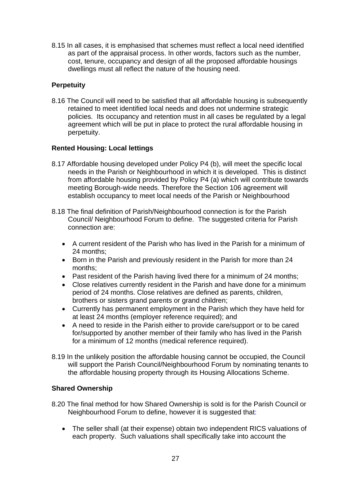8.15 In all cases, it is emphasised that schemes must reflect a local need identified as part of the appraisal process. In other words, factors such as the number, cost, tenure, occupancy and design of all the proposed affordable housings dwellings must all reflect the nature of the housing need.

## **Perpetuity**

8.16 The Council will need to be satisfied that all affordable housing is subsequently retained to meet identified local needs and does not undermine strategic policies. Its occupancy and retention must in all cases be regulated by a legal agreement which will be put in place to protect the rural affordable housing in perpetuity.

## **Rented Housing: Local lettings**

- 8.17 Affordable housing developed under Policy P4 (b), will meet the specific local needs in the Parish or Neighbourhood in which it is developed. This is distinct from affordable housing provided by Policy P4 (a) which will contribute towards meeting Borough-wide needs. Therefore the Section 106 agreement will establish occupancy to meet local needs of the Parish or Neighbourhood
- 8.18 The final definition of Parish/Neighbourhood connection is for the Parish Council/ Neighbourhood Forum to define. The suggested criteria for Parish connection are:
	- A current resident of the Parish who has lived in the Parish for a minimum of 24 months;
	- Born in the Parish and previously resident in the Parish for more than 24 months;
	- Past resident of the Parish having lived there for a minimum of 24 months;
	- Close relatives currently resident in the Parish and have done for a minimum period of 24 months. Close relatives are defined as parents, children, brothers or sisters grand parents or grand children;
	- Currently has permanent employment in the Parish which they have held for at least 24 months (employer reference required); and
	- A need to reside in the Parish either to provide care/support or to be cared for/supported by another member of their family who has lived in the Parish for a minimum of 12 months (medical reference required).
- 8.19 In the unlikely position the affordable housing cannot be occupied, the Council will support the Parish Council/Neighbourhood Forum by nominating tenants to the affordable housing property through its Housing Allocations Scheme.

## **Shared Ownership**

- 8.20 The final method for how Shared Ownership is sold is for the Parish Council or Neighbourhood Forum to define, however it is suggested that:
	- The seller shall (at their expense) obtain two independent RICS valuations of each property. Such valuations shall specifically take into account the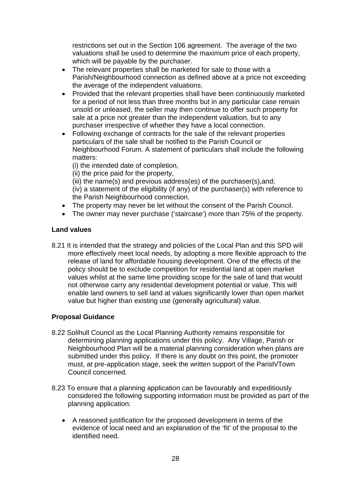restrictions set out in the Section 106 agreement. The average of the two valuations shall be used to determine the maximum price of each property, which will be payable by the purchaser.

- The relevant properties shall be marketed for sale to those with a Parish/Neighbourhood connection as defined above at a price not exceeding the average of the independent valuations.
- Provided that the relevant properties shall have been continuously marketed for a period of not less than three months but in any particular case remain unsold or unleased, the seller may then continue to offer such property for sale at a price not greater than the independent valuation, but to any purchaser irrespective of whether they have a local connection.
- Following exchange of contracts for the sale of the relevant properties particulars of the sale shall be notified to the Parish Council or Neighbourhood Forum. A statement of particulars shall include the following matters:

(i) the intended date of completion,

(ii) the price paid for the property,

(iii) the name(s) and previous address(es) of the purchaser(s),and;

- (iv) a statement of the eligibility (if any) of the purchaser(s) with reference to the Parish Neighbourhood connection.
- The property may never be let without the consent of the Parish Council.
- The owner may never purchase ('staircase') more than 75% of the property.

## **Land values**

8.21 It is intended that the strategy and policies of the Local Plan and this SPD will more effectively meet local needs, by adopting a more flexible approach to the release of land for affordable housing development. One of the effects of the policy should be to exclude competition for residential land at open market values whilst at the same time providing scope for the sale of land that would not otherwise carry any residential development potential or value. This will enable land owners to sell land at values significantly lower than open market value but higher than existing use (generally agricultural) value.

## **Proposal Guidance**

- 8.22 Solihull Council as the Local Planning Authority remains responsible for determining planning applications under this policy. Any Village, Parish or Neighbourhood Plan will be a material planning consideration when plans are submitted under this policy. If there is any doubt on this point, the promoter must, at pre-application stage, seek the written support of the Parish/Town Council concerned.
- 8.23 To ensure that a planning application can be favourably and expeditiously considered the following supporting information must be provided as part of the planning application:
	- A reasoned justification for the proposed development in terms of the evidence of local need and an explanation of the 'fit' of the proposal to the identified need.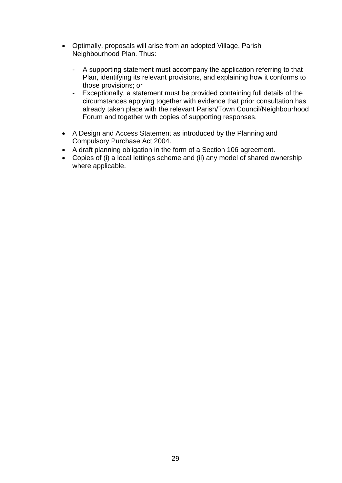- Optimally, proposals will arise from an adopted Village, Parish Neighbourhood Plan. Thus:
	- A supporting statement must accompany the application referring to that Plan, identifying its relevant provisions, and explaining how it conforms to those provisions; or
	- Exceptionally, a statement must be provided containing full details of the circumstances applying together with evidence that prior consultation has already taken place with the relevant Parish/Town Council/Neighbourhood Forum and together with copies of supporting responses.
- A Design and Access Statement as introduced by the Planning and Compulsory Purchase Act 2004.
- A draft planning obligation in the form of a Section 106 agreement.
- Copies of (i) a local lettings scheme and (ii) any model of shared ownership where applicable.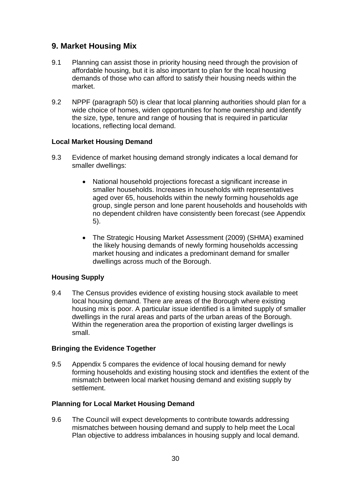## **9. Market Housing Mix**

- 9.1 Planning can assist those in priority housing need through the provision of affordable housing, but it is also important to plan for the local housing demands of those who can afford to satisfy their housing needs within the market.
- 9.2 NPPF (paragraph 50) is clear that local planning authorities should plan for a wide choice of homes, widen opportunities for home ownership and identify the size, type, tenure and range of housing that is required in particular locations, reflecting local demand.

#### **Local Market Housing Demand**

- 9.3 Evidence of market housing demand strongly indicates a local demand for smaller dwellings:
	- National household projections forecast a significant increase in smaller households. Increases in households with representatives aged over 65, households within the newly forming households age group, single person and lone parent households and households with no dependent children have consistently been forecast (see Appendix 5).
	- The Strategic Housing Market Assessment (2009) (SHMA) examined the likely housing demands of newly forming households accessing market housing and indicates a predominant demand for smaller dwellings across much of the Borough.

#### **Housing Supply**

9.4 The Census provides evidence of existing housing stock available to meet local housing demand. There are areas of the Borough where existing housing mix is poor. A particular issue identified is a limited supply of smaller dwellings in the rural areas and parts of the urban areas of the Borough. Within the regeneration area the proportion of existing larger dwellings is small.

#### **Bringing the Evidence Together**

9.5 Appendix 5 compares the evidence of local housing demand for newly forming households and existing housing stock and identifies the extent of the mismatch between local market housing demand and existing supply by settlement.

#### **Planning for Local Market Housing Demand**

9.6 The Council will expect developments to contribute towards addressing mismatches between housing demand and supply to help meet the Local Plan objective to address imbalances in housing supply and local demand.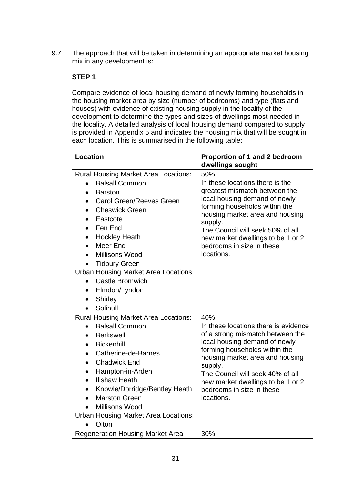9.7 The approach that will be taken in determining an appropriate market housing mix in any development is:

## **STEP 1**

Compare evidence of local housing demand of newly forming households in the housing market area by size (number of bedrooms) and type (flats and houses) with evidence of existing housing supply in the locality of the development to determine the types and sizes of dwellings most needed in the locality. A detailed analysis of local housing demand compared to supply is provided in Appendix 5 and indicates the housing mix that will be sought in each location. This is summarised in the following table:

| <b>Location</b>                                                                                                                                                                                                                                                                                                                                                                                                                                                                                                                | Proportion of 1 and 2 bedroom<br>dwellings sought                                                                                                                                                                                                                                                                   |
|--------------------------------------------------------------------------------------------------------------------------------------------------------------------------------------------------------------------------------------------------------------------------------------------------------------------------------------------------------------------------------------------------------------------------------------------------------------------------------------------------------------------------------|---------------------------------------------------------------------------------------------------------------------------------------------------------------------------------------------------------------------------------------------------------------------------------------------------------------------|
| <b>Rural Housing Market Area Locations:</b><br><b>Balsall Common</b><br>$\bullet$<br><b>Barston</b><br>$\bullet$<br><b>Carol Green/Reeves Green</b><br>$\bullet$<br><b>Cheswick Green</b><br>Eastcote<br>$\bullet$<br>Fen End<br>$\bullet$<br><b>Hockley Heath</b><br>$\bullet$<br>Meer End<br>$\bullet$<br>Millisons Wood<br><b>Tidbury Green</b><br><b>Urban Housing Market Area Locations:</b><br><b>Castle Bromwich</b><br>$\bullet$<br>Elmdon/Lyndon<br>$\bullet$<br><b>Shirley</b><br>$\bullet$<br>Solihull<br>$\bullet$ | 50%<br>In these locations there is the<br>greatest mismatch between the<br>local housing demand of newly<br>forming households within the<br>housing market area and housing<br>supply.<br>The Council will seek 50% of all<br>new market dwellings to be 1 or 2<br>bedrooms in size in these<br>locations.         |
| <b>Rural Housing Market Area Locations:</b><br><b>Balsall Common</b><br>$\bullet$<br><b>Berkswell</b><br>$\bullet$<br><b>Bickenhill</b><br>$\bullet$<br>Catherine-de-Barnes<br>$\bullet$<br><b>Chadwick End</b><br>$\bullet$<br>Hampton-in-Arden<br>$\bullet$<br><b>Illshaw Heath</b><br>$\bullet$<br>Knowle/Dorridge/Bentley Heath<br>$\bullet$<br><b>Marston Green</b><br>$\bullet$<br>Millisons Wood<br>$\bullet$<br><b>Urban Housing Market Area Locations:</b><br>Olton<br>$\bullet$                                      | 40%<br>In these locations there is evidence<br>of a strong mismatch between the<br>local housing demand of newly<br>forming households within the<br>housing market area and housing<br>supply.<br>The Council will seek 40% of all<br>new market dwellings to be 1 or 2<br>bedrooms in size in these<br>locations. |
| <b>Regeneration Housing Market Area</b>                                                                                                                                                                                                                                                                                                                                                                                                                                                                                        | 30%                                                                                                                                                                                                                                                                                                                 |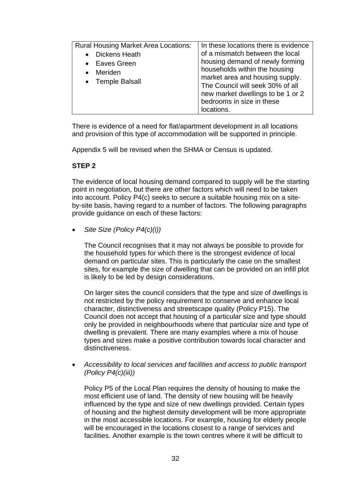| <b>Rural Housing Market Area Locations:</b>                               | In these locations there is evidence                                                                                                                                                                                                                       |
|---------------------------------------------------------------------------|------------------------------------------------------------------------------------------------------------------------------------------------------------------------------------------------------------------------------------------------------------|
| <b>Dickens Heath</b><br><b>Eaves Green</b><br>Meriden<br>• Temple Balsall | of a mismatch between the local<br>housing demand of newly forming<br>households within the housing<br>market area and housing supply.<br>The Council will seek 30% of all<br>new market dwellings to be 1 or 2<br>bedrooms in size in these<br>locations. |

There is evidence of a need for flat/apartment development in all locations and provision of this type of accommodation will be supported in principle.

Appendix 5 will be revised when the SHMA or Census is updated.

## **STEP 2**

The evidence of local housing demand compared to supply will be the starting point in negotiation, but there are other factors which will need to be taken into account. Policy P4(c) seeks to secure a suitable housing mix on a siteby-site basis, having regard to a number of factors. The following paragraphs provide guidance on each of these factors:

*Site Size (Policy P4(c)(i))* 

The Council recognises that it may not always be possible to provide for the household types for which there is the strongest evidence of local demand on particular sites. This is particularly the case on the smallest sites, for example the size of dwelling that can be provided on an infill plot is likely to be led by design considerations.

On larger sites the council considers that the type and size of dwellings is not restricted by the policy requirement to conserve and enhance local character, distinctiveness and streetscape quality (Policy P15). The Council does not accept that housing of a particular size and type should only be provided in neighbourhoods where that particular size and type of dwelling is prevalent. There are many examples where a mix of house types and sizes make a positive contribution towards local character and distinctiveness.

 *Accessibility to local services and facilities and access to public transport (Policy P4(c)(iii))* 

Policy P5 of the Local Plan requires the density of housing to make the most efficient use of land. The density of new housing will be heavily influenced by the type and size of new dwellings provided. Certain types of housing and the highest density development will be more appropriate in the most accessible locations. For example, housing for elderly people will be encouraged in the locations closest to a range of services and facilities. Another example is the town centres where it will be difficult to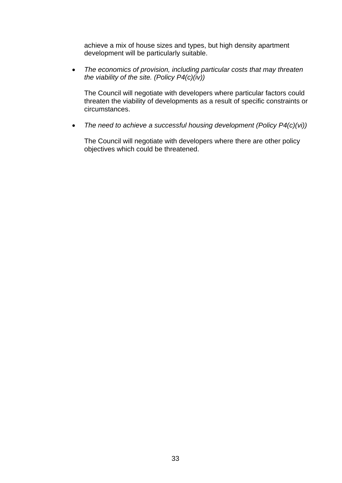achieve a mix of house sizes and types, but high density apartment development will be particularly suitable.

 *The economics of provision, including particular costs that may threaten the viability of the site. (Policy P4(c)(iv))* 

The Council will negotiate with developers where particular factors could threaten the viability of developments as a result of specific constraints or circumstances.

*The need to achieve a successful housing development (Policy P4(c)(vi))* 

The Council will negotiate with developers where there are other policy objectives which could be threatened.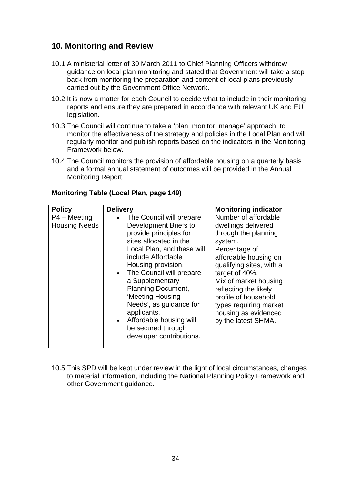## **10. Monitoring and Review**

- 10.1 A ministerial letter of 30 March 2011 to Chief Planning Officers withdrew guidance on local plan monitoring and stated that Government will take a step back from monitoring the preparation and content of local plans previously carried out by the Government Office Network.
- 10.2 It is now a matter for each Council to decide what to include in their monitoring reports and ensure they are prepared in accordance with relevant UK and EU legislation.
- 10.3 The Council will continue to take a 'plan, monitor, manage' approach, to monitor the effectiveness of the strategy and policies in the Local Plan and will regularly monitor and publish reports based on the indicators in the Monitoring Framework below.
- 10.4 The Council monitors the provision of affordable housing on a quarterly basis and a formal annual statement of outcomes will be provided in the Annual Monitoring Report.

| <b>Policy</b>                        | <b>Delivery</b>                                                                                                                                                                                                                                                                                                                                                                                            | <b>Monitoring indicator</b>                                                                                                                                                                                                                                                                                               |
|--------------------------------------|------------------------------------------------------------------------------------------------------------------------------------------------------------------------------------------------------------------------------------------------------------------------------------------------------------------------------------------------------------------------------------------------------------|---------------------------------------------------------------------------------------------------------------------------------------------------------------------------------------------------------------------------------------------------------------------------------------------------------------------------|
| P4 – Meeting<br><b>Housing Needs</b> | The Council will prepare<br>Development Briefs to<br>provide principles for<br>sites allocated in the<br>Local Plan, and these will<br>include Affordable<br>Housing provision.<br>• The Council will prepare<br>a Supplementary<br><b>Planning Document,</b><br>'Meeting Housing<br>Needs', as guidance for<br>applicants.<br>• Affordable housing will<br>be secured through<br>developer contributions. | Number of affordable<br>dwellings delivered<br>through the planning<br>system.<br>Percentage of<br>affordable housing on<br>qualifying sites, with a<br>target of 40%.<br>Mix of market housing<br>reflecting the likely<br>profile of household<br>types requiring market<br>housing as evidenced<br>by the latest SHMA. |

## **Monitoring Table (Local Plan, page 149)**

10.5 This SPD will be kept under review in the light of local circumstances, changes to material information, including the National Planning Policy Framework and other Government guidance.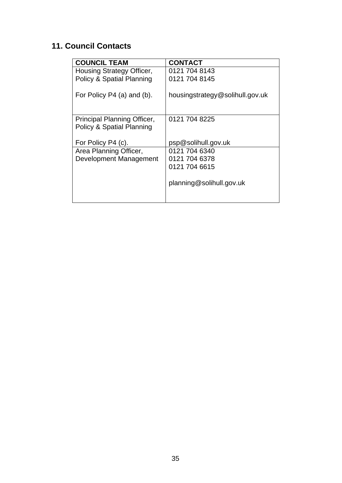# **11. Council Contacts**

| <b>COUNCIL TEAM</b>                                      | <b>CONTACT</b>                  |
|----------------------------------------------------------|---------------------------------|
| Housing Strategy Officer,                                | 0121 704 8143                   |
| <b>Policy &amp; Spatial Planning</b>                     | 0121 704 8145                   |
| For Policy P4 (a) and (b).                               | housingstrategy@solihull.gov.uk |
| Principal Planning Officer,<br>Policy & Spatial Planning | 0121 704 8225                   |
| For Policy P4 (c).                                       | psp@solihull.gov.uk             |
| Area Planning Officer,                                   | 0121 704 6340                   |
| <b>Development Management</b>                            | 0121 704 6378                   |
|                                                          | 0121 704 6615                   |
|                                                          | planning@solihull.gov.uk        |
|                                                          |                                 |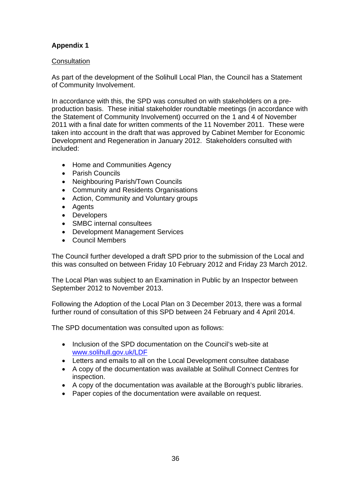## **Appendix 1**

## **Consultation**

As part of the development of the Solihull Local Plan, the Council has a Statement of Community Involvement.

In accordance with this, the SPD was consulted on with stakeholders on a preproduction basis. These initial stakeholder roundtable meetings (in accordance with the Statement of Community Involvement) occurred on the 1 and 4 of November 2011 with a final date for written comments of the 11 November 2011. These were taken into account in the draft that was approved by Cabinet Member for Economic Development and Regeneration in January 2012. Stakeholders consulted with included:

- Home and Communities Agency
- Parish Councils
- Neighbouring Parish/Town Councils
- Community and Residents Organisations
- Action, Community and Voluntary groups
- Agents
- Developers
- SMBC internal consultees
- Development Management Services
- Council Members

The Council further developed a draft SPD prior to the submission of the Local and this was consulted on between Friday 10 February 2012 and Friday 23 March 2012.

The Local Plan was subject to an Examination in Public by an Inspector between September 2012 to November 2013.

Following the Adoption of the Local Plan on 3 December 2013, there was a formal further round of consultation of this SPD between 24 February and 4 April 2014.

The SPD documentation was consulted upon as follows:

- Inclusion of the SPD documentation on the Council's web-site at www.solihull.gov.uk/LDF
- Letters and emails to all on the Local Development consultee database
- A copy of the documentation was available at Solihull Connect Centres for inspection.
- A copy of the documentation was available at the Borough's public libraries.
- Paper copies of the documentation were available on request.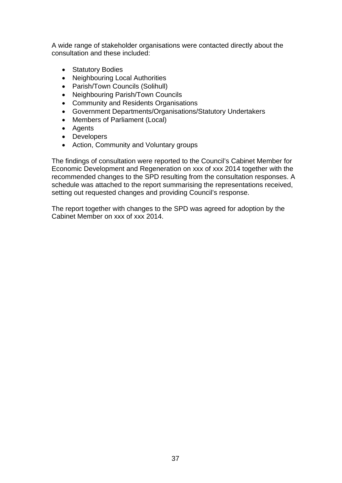A wide range of stakeholder organisations were contacted directly about the consultation and these included:

- Statutory Bodies
- Neighbouring Local Authorities
- Parish/Town Councils (Solihull)
- Neighbouring Parish/Town Councils
- Community and Residents Organisations
- Government Departments/Organisations/Statutory Undertakers
- Members of Parliament (Local)
- Agents
- Developers
- Action, Community and Voluntary groups

The findings of consultation were reported to the Council's Cabinet Member for Economic Development and Regeneration on xxx of xxx 2014 together with the recommended changes to the SPD resulting from the consultation responses. A schedule was attached to the report summarising the representations received, setting out requested changes and providing Council's response.

The report together with changes to the SPD was agreed for adoption by the Cabinet Member on xxx of xxx 2014.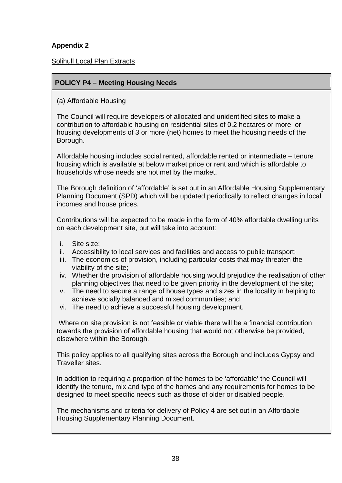## **Appendix 2**

## Solihull Local Plan Extracts

## **POLICY P4 – Meeting Housing Needs**

(a) Affordable Housing

The Council will require developers of allocated and unidentified sites to make a contribution to affordable housing on residential sites of 0.2 hectares or more, or housing developments of 3 or more (net) homes to meet the housing needs of the Borough.

Affordable housing includes social rented, affordable rented or intermediate – tenure housing which is available at below market price or rent and which is affordable to households whose needs are not met by the market.

The Borough definition of 'affordable' is set out in an Affordable Housing Supplementary Planning Document (SPD) which will be updated periodically to reflect changes in local incomes and house prices.

Contributions will be expected to be made in the form of 40% affordable dwelling units on each development site, but will take into account:

- i. Site size;
- ii. Accessibility to local services and facilities and access to public transport:
- iii. The economics of provision, including particular costs that may threaten the viability of the site;
- iv. Whether the provision of affordable housing would prejudice the realisation of other planning objectives that need to be given priority in the development of the site;
- v. The need to secure a range of house types and sizes in the locality in helping to achieve socially balanced and mixed communities; and
- vi. The need to achieve a successful housing development.

 Where on site provision is not feasible or viable there will be a financial contribution towards the provision of affordable housing that would not otherwise be provided, elsewhere within the Borough.

This policy applies to all qualifying sites across the Borough and includes Gypsy and Traveller sites.

In addition to requiring a proportion of the homes to be 'affordable' the Council will identify the tenure, mix and type of the homes and any requirements for homes to be designed to meet specific needs such as those of older or disabled people.

The mechanisms and criteria for delivery of Policy 4 are set out in an Affordable Housing Supplementary Planning Document.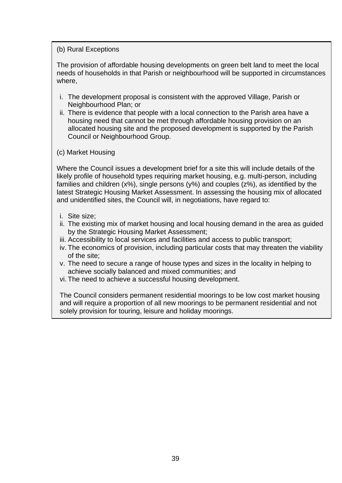## (b) Rural Exceptions

The provision of affordable housing developments on green belt land to meet the local needs of households in that Parish or neighbourhood will be supported in circumstances where,

- i. The development proposal is consistent with the approved Village, Parish or Neighbourhood Plan; or
- ii. There is evidence that people with a local connection to the Parish area have a housing need that cannot be met through affordable housing provision on an allocated housing site and the proposed development is supported by the Parish Council or Neighbourhood Group.
- (c) Market Housing

Where the Council issues a development brief for a site this will include details of the likely profile of household types requiring market housing, e.g. multi-person, including families and children (x%), single persons (y%) and couples (z%), as identified by the latest Strategic Housing Market Assessment. In assessing the housing mix of allocated and unidentified sites, the Council will, in negotiations, have regard to:

- i. Site size;
- ii. The existing mix of market housing and local housing demand in the area as guided by the Strategic Housing Market Assessment;
- iii. Accessibility to local services and facilities and access to public transport;
- iv. The economics of provision, including particular costs that may threaten the viability of the site;
- v. The need to secure a range of house types and sizes in the locality in helping to achieve socially balanced and mixed communities; and
- vi. The need to achieve a successful housing development.

The Council considers permanent residential moorings to be low cost market housing and will require a proportion of all new moorings to be permanent residential and not solely provision for touring, leisure and holiday moorings.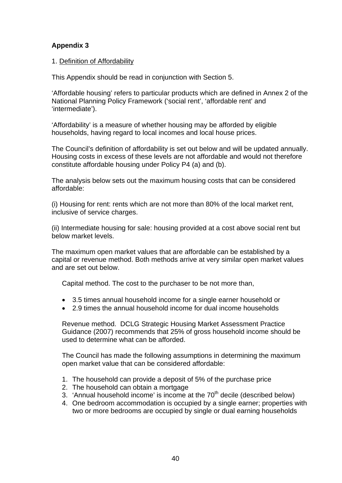## **Appendix 3**

## 1. Definition of Affordability

This Appendix should be read in conjunction with Section 5.

'Affordable housing' refers to particular products which are defined in Annex 2 of the National Planning Policy Framework ('social rent', 'affordable rent' and 'intermediate').

'Affordability' is a measure of whether housing may be afforded by eligible households, having regard to local incomes and local house prices.

The Council's definition of affordability is set out below and will be updated annually. Housing costs in excess of these levels are not affordable and would not therefore constitute affordable housing under Policy P4 (a) and (b).

The analysis below sets out the maximum housing costs that can be considered affordable:

(i) Housing for rent: rents which are not more than 80% of the local market rent, inclusive of service charges.

(ii) Intermediate housing for sale: housing provided at a cost above social rent but below market levels.

The maximum open market values that are affordable can be established by a capital or revenue method. Both methods arrive at very similar open market values and are set out below.

Capital method. The cost to the purchaser to be not more than,

- 3.5 times annual household income for a single earner household or
- 2.9 times the annual household income for dual income households

Revenue method. DCLG Strategic Housing Market Assessment Practice Guidance (2007) recommends that 25% of gross household income should be used to determine what can be afforded.

The Council has made the following assumptions in determining the maximum open market value that can be considered affordable:

- 1. The household can provide a deposit of 5% of the purchase price
- 2. The household can obtain a mortgage
- 3. 'Annual household income' is income at the  $70<sup>th</sup>$  decile (described below)
- 4. One bedroom accommodation is occupied by a single earner; properties with two or more bedrooms are occupied by single or dual earning households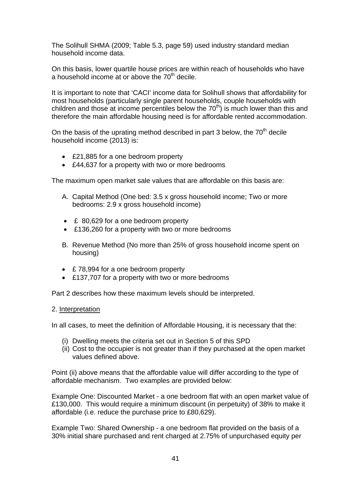The Solihull SHMA (2009; Table 5.3, page 59) used industry standard median household income data.

On this basis, lower quartile house prices are within reach of households who have a household income at or above the  $70<sup>th</sup>$  decile.

It is important to note that 'CACI' income data for Solihull shows that affordability for most households (particularly single parent households, couple households with children and those at income percentiles below the  $70<sup>th</sup>$  is much lower than this and therefore the main affordable housing need is for affordable rented accommodation.

On the basis of the uprating method described in part 3 below, the  $70<sup>th</sup>$  decile household income (2013) is:

- £21,885 for a one bedroom property
- £44,637 for a property with two or more bedrooms

The maximum open market sale values that are affordable on this basis are:

- A. Capital Method (One bed: 3.5 x gross household income; Two or more bedrooms: 2.9 x gross household income)
- £ 80,629 for a one bedroom property
- £136,260 for a property with two or more bedrooms
- B. Revenue Method (No more than 25% of gross household income spent on housing)
- £78,994 for a one bedroom property
- £137,707 for a property with two or more bedrooms

Part 2 describes how these maximum levels should be interpreted.

#### 2. Interpretation

In all cases, to meet the definition of Affordable Housing, it is necessary that the:

- (i) Dwelling meets the criteria set out in Section 5 of this SPD
- (ii) Cost to the occupier is not greater than if they purchased at the open market values defined above.

Point (ii) above means that the affordable value will differ according to the type of affordable mechanism. Two examples are provided below:

Example One: Discounted Market - a one bedroom flat with an open market value of £130,000. This would require a minimum discount (in perpetuity) of 38% to make it affordable (i.e. reduce the purchase price to £80,629).

Example Two: Shared Ownership - a one bedroom flat provided on the basis of a 30% initial share purchased and rent charged at 2.75% of unpurchased equity per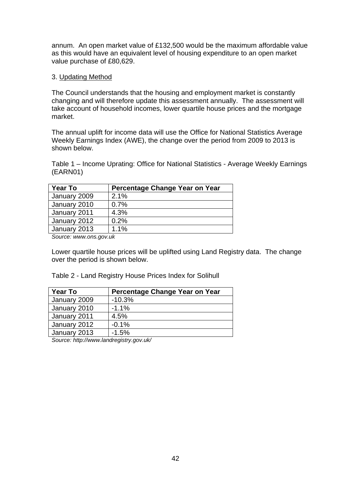annum. An open market value of £132,500 would be the maximum affordable value as this would have an equivalent level of housing expenditure to an open market value purchase of £80,629.

#### 3. Updating Method

The Council understands that the housing and employment market is constantly changing and will therefore update this assessment annually. The assessment will take account of household incomes, lower quartile house prices and the mortgage market.

The annual uplift for income data will use the Office for National Statistics Average Weekly Earnings Index (AWE), the change over the period from 2009 to 2013 is shown below.

Table 1 – Income Uprating: Office for National Statistics - Average Weekly Earnings (EARN01)

| <b>Year To</b>                                               | Percentage Change Year on Year |
|--------------------------------------------------------------|--------------------------------|
| January 2009                                                 | 2.1%                           |
| January 2010                                                 | 0.7%                           |
| January 2011                                                 | 4.3%                           |
| January 2012                                                 | 0.2%                           |
| January 2013                                                 | 1.1%                           |
| $\mathcal{O}$ and $\mathcal{O}$ are the set of $\mathcal{O}$ |                                |

*Source: www.ons.gov.uk* 

Lower quartile house prices will be uplifted using Land Registry data. The change over the period is shown below.

Table 2 - Land Registry House Prices Index for Solihull

| <b>Year To</b> | Percentage Change Year on Year |
|----------------|--------------------------------|
| January 2009   | $-10.3%$                       |
| January 2010   | $-1.1%$                        |
| January 2011   | 4.5%                           |
| January 2012   | $-0.1%$                        |
| January 2013   | $-1.5%$                        |

*Source: http://www.landregistry.gov.uk/*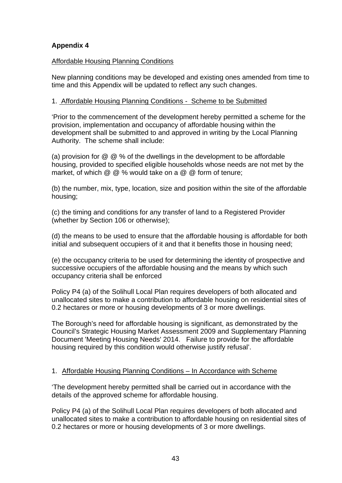## **Appendix 4**

## Affordable Housing Planning Conditions

New planning conditions may be developed and existing ones amended from time to time and this Appendix will be updated to reflect any such changes.

## 1. Affordable Housing Planning Conditions - Scheme to be Submitted

'Prior to the commencement of the development hereby permitted a scheme for the provision, implementation and occupancy of affordable housing within the development shall be submitted to and approved in writing by the Local Planning Authority. The scheme shall include:

(a) provision for  $\omega \otimes \omega$  of the dwellings in the development to be affordable housing, provided to specified eligible households whose needs are not met by the market, of which @ @ % would take on a @ @ form of tenure;

(b) the number, mix, type, location, size and position within the site of the affordable housing;

(c) the timing and conditions for any transfer of land to a Registered Provider (whether by Section 106 or otherwise);

(d) the means to be used to ensure that the affordable housing is affordable for both initial and subsequent occupiers of it and that it benefits those in housing need;

(e) the occupancy criteria to be used for determining the identity of prospective and successive occupiers of the affordable housing and the means by which such occupancy criteria shall be enforced

Policy P4 (a) of the Solihull Local Plan requires developers of both allocated and unallocated sites to make a contribution to affordable housing on residential sites of 0.2 hectares or more or housing developments of 3 or more dwellings.

The Borough's need for affordable housing is significant, as demonstrated by the Council's Strategic Housing Market Assessment 2009 and Supplementary Planning Document 'Meeting Housing Needs' 2014. Failure to provide for the affordable housing required by this condition would otherwise justify refusal'.

## 1. Affordable Housing Planning Conditions – In Accordance with Scheme

'The development hereby permitted shall be carried out in accordance with the details of the approved scheme for affordable housing.

Policy P4 (a) of the Solihull Local Plan requires developers of both allocated and unallocated sites to make a contribution to affordable housing on residential sites of 0.2 hectares or more or housing developments of 3 or more dwellings.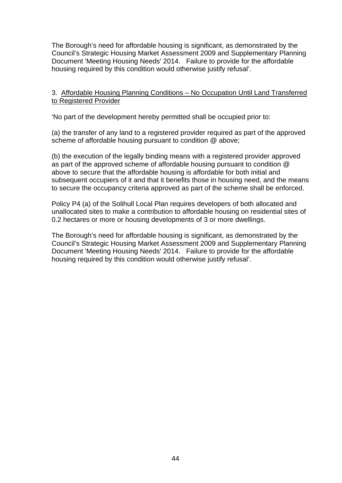The Borough's need for affordable housing is significant, as demonstrated by the Council's Strategic Housing Market Assessment 2009 and Supplementary Planning Document 'Meeting Housing Needs' 2014. Failure to provide for the affordable housing required by this condition would otherwise justify refusal'.

#### 3. Affordable Housing Planning Conditions – No Occupation Until Land Transferred to Registered Provider

'No part of the development hereby permitted shall be occupied prior to:

(a) the transfer of any land to a registered provider required as part of the approved scheme of affordable housing pursuant to condition @ above;

(b) the execution of the legally binding means with a registered provider approved as part of the approved scheme of affordable housing pursuant to condition @ above to secure that the affordable housing is affordable for both initial and subsequent occupiers of it and that it benefits those in housing need, and the means to secure the occupancy criteria approved as part of the scheme shall be enforced.

Policy P4 (a) of the Solihull Local Plan requires developers of both allocated and unallocated sites to make a contribution to affordable housing on residential sites of 0.2 hectares or more or housing developments of 3 or more dwellings.

The Borough's need for affordable housing is significant, as demonstrated by the Council's Strategic Housing Market Assessment 2009 and Supplementary Planning Document 'Meeting Housing Needs' 2014. Failure to provide for the affordable housing required by this condition would otherwise justify refusal'.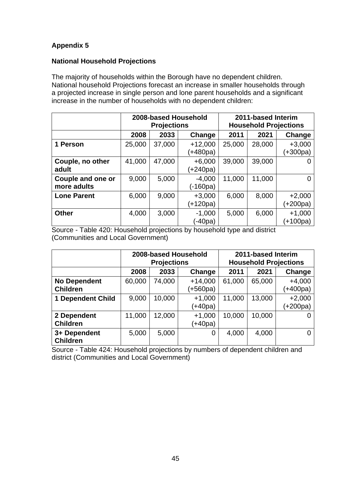## **Appendix 5**

#### **National Household Projections**

The majority of households within the Borough have no dependent children. National household Projections forecast an increase in smaller households through a projected increase in single person and lone parent households and a significant increase in the number of households with no dependent children:

|                                  | 2008-based Household<br><b>Projections</b> |        |                       | 2011-based Interim<br><b>Household Projections</b> |        |                      |
|----------------------------------|--------------------------------------------|--------|-----------------------|----------------------------------------------------|--------|----------------------|
|                                  | 2008                                       | 2033   | Change                | 2011                                               | 2021   | Change               |
| 1 Person                         | 25,000                                     | 37,000 | $+12,000$<br>(+480pa) | 25,000                                             | 28,000 | $+3,000$<br>(+300pa) |
| Couple, no other<br>adult        | 41,000                                     | 47,000 | $+6,000$<br>(+240pa)  | 39,000                                             | 39,000 | 0                    |
| Couple and one or<br>more adults | 9,000                                      | 5,000  | $-4,000$<br>(-160pa)  | 11,000                                             | 11,000 | 0                    |
| <b>Lone Parent</b>               | 6,000                                      | 9,000  | $+3,000$<br>(+120pa)  | 6,000                                              | 8,000  | $+2,000$<br>(+200pa) |
| <b>Other</b>                     | 4,000                                      | 3,000  | $-1,000$<br>(-40pa)   | 5,000                                              | 6,000  | $+1,000$<br>(+100pa) |

Source - Table 420: Household projections by household type and district (Communities and Local Government)

|                                        | 2008-based Household<br><b>Projections</b> |        |                       | 2011-based Interim<br><b>Household Projections</b> |        |                      |
|----------------------------------------|--------------------------------------------|--------|-----------------------|----------------------------------------------------|--------|----------------------|
|                                        | 2008                                       | 2033   | Change                | 2011                                               | 2021   | Change               |
| <b>No Dependent</b><br><b>Children</b> | 60,000                                     | 74,000 | $+14,000$<br>(+560pa) | 61,000                                             | 65,000 | $+4,000$<br>(+400pa) |
| <b>Dependent Child</b><br>1            | 9,000                                      | 10,000 | $+1,000$<br>$+40pa$   | 11,000                                             | 13,000 | $+2,000$<br>(+200pa) |
| 2 Dependent<br><b>Children</b>         | 11,000                                     | 12,000 | $+1,000$<br>(+40pa)   | 10,000                                             | 10,000 |                      |
| 3+ Dependent<br><b>Children</b>        | 5,000                                      | 5,000  | 0                     | 4,000                                              | 4,000  | O                    |

Source - Table 424: Household projections by numbers of dependent children and district (Communities and Local Government)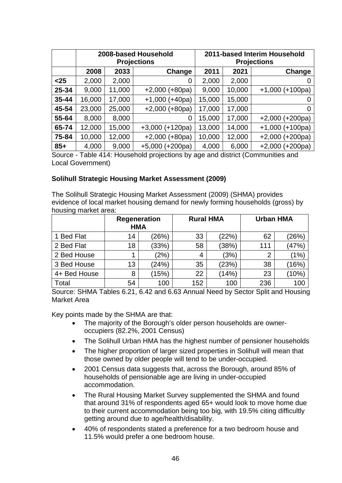|       | 2008-based Household<br><b>Projections</b> |        |                   |        |        | 2011-based Interim Household<br><b>Projections</b> |
|-------|--------------------------------------------|--------|-------------------|--------|--------|----------------------------------------------------|
|       | 2008                                       | 2033   | Change            | 2011   | 2021   | Change                                             |
| $25$  | 2,000                                      | 2,000  | 0                 | 2,000  | 2,000  |                                                    |
| 25-34 | 9,000                                      | 11,000 | $+2,000 (+80pa)$  | 9,000  | 10,000 | $+1,000 (+100pa)$                                  |
| 35-44 | 16,000                                     | 17,000 | $+1,000 (+40pa)$  | 15,000 | 15,000 |                                                    |
| 45-54 | 23,000                                     | 25,000 | $+2,000 (+80pa)$  | 17,000 | 17,000 | 0                                                  |
| 55-64 | 8,000                                      | 8,000  | 0                 | 15,000 | 17,000 | $+2,000 (+200pa)$                                  |
| 65-74 | 12,000                                     | 15,000 | $+3,000 (+120pa)$ | 13,000 | 14,000 | $+1,000 (+100pa)$                                  |
| 75-84 | 10,000                                     | 12,000 | $+2,000 (+80pa)$  | 10,000 | 12,000 | $+2,000 (+200pa)$                                  |
| $85+$ | 4,000                                      | 9,000  | $+5,000 (+200pa)$ | 4,000  | 6,000  | $+2,000 (+200pa)$                                  |

Source - Table 414: Household projections by age and district (Communities and Local Government)

## **Solihull Strategic Housing Market Assessment (2009)**

The Solihull Strategic Housing Market Assessment (2009) (SHMA) provides evidence of local market housing demand for newly forming households (gross) by housing market area:

|              | <b>Regeneration</b><br><b>HMA</b> |       |     | <b>Rural HMA</b> |                | <b>Urban HMA</b> |  |
|--------------|-----------------------------------|-------|-----|------------------|----------------|------------------|--|
| 1 Bed Flat   | 14                                | (26%) | 33  | (22%)            | 62             | (26%)            |  |
| 2 Bed Flat   | 18                                | (33%) | 58  | (38%)            | 111            | (47%)            |  |
| 2 Bed House  |                                   | (2%)  | 4   | (3%)             | $\overline{2}$ | (1%)             |  |
| 3 Bed House  | 13                                | (24%) | 35  | (23%)            | 38             | (16%)            |  |
| 4+ Bed House | 8                                 | (15%) | 22  | (14%)            | 23             | (10%)            |  |
| Total        | 54                                | 100   | 152 | 100              | 236            | 100              |  |

Source: SHMA Tables 6.21, 6.42 and 6.63 Annual Need by Sector Split and Housing Market Area

Key points made by the SHMA are that:

- The majority of the Borough's older person households are owneroccupiers (82.2%, 2001 Census)
- The Solihull Urban HMA has the highest number of pensioner households
- The higher proportion of larger sized properties in Solihull will mean that those owned by older people will tend to be under-occupied.
- 2001 Census data suggests that, across the Borough, around 85% of households of pensionable age are living in under-occupied accommodation.
- The Rural Housing Market Survey supplemented the SHMA and found that around 31% of respondents aged 65+ would look to move home due to their current accommodation being too big, with 19.5% citing difficultly getting around due to age/health/disability.
- 40% of respondents stated a preference for a two bedroom house and 11.5% would prefer a one bedroom house.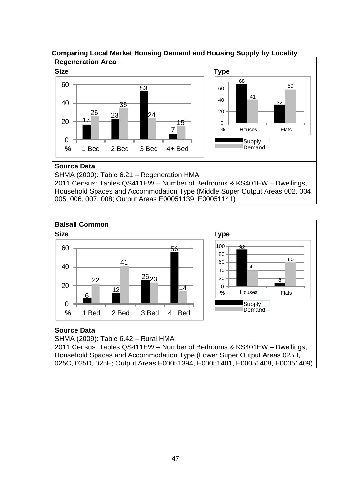

# **Comparing Local Market Housing Demand and Housing Supply by Locality**

Household Spaces and Accommodation Type (Middle Super Output Areas 002, 004, 005, 006, 007, 008; Output Areas E00051139, E00051141)



## **Source Data**

SHMA (2009): Table 6.42 – Rural HMA

2011 Census: Tables QS411EW – Number of Bedrooms & KS401EW – Dwellings, Household Spaces and Accommodation Type (Lower Super Output Areas 025B, 025C, 025D, 025E; Output Areas E00051394, E00051401, E00051408, E00051409)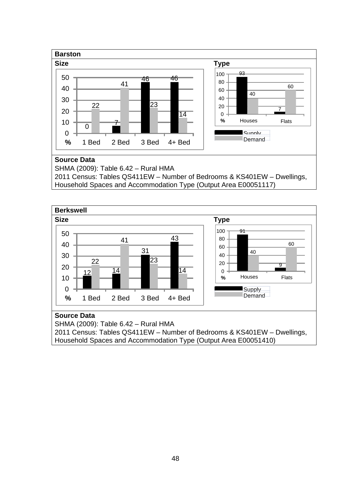

**Berkswell Size Type**   $\overline{\phantom{a}}$  $\overline{12}$   $\overline{14}$  **%** 1 Bed 2 Bed 3 Bed 4+ Bed  $.91$  . **%** Houses Flats Supply **Demand** 

## **Source Data**

SHMA (2009): Table 6.42 – Rural HMA 2011 Census: Tables QS411EW – Number of Bedrooms & KS401EW – Dwellings,

Household Spaces and Accommodation Type (Output Area E00051410)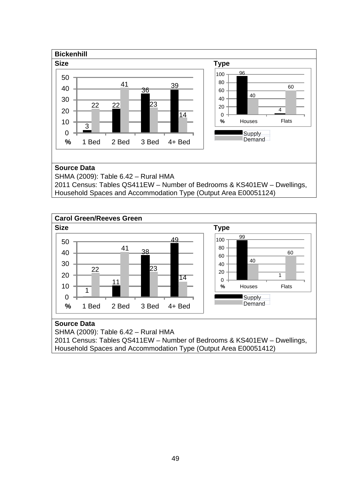

Household Spaces and Accommodation Type (Output Area E00051124)



#### **Source Data**

SHMA (2009): Table 6.42 – Rural HMA 2011 Census: Tables QS411EW – Number of Bedrooms & KS401EW – Dwellings, Household Spaces and Accommodation Type (Output Area E00051412)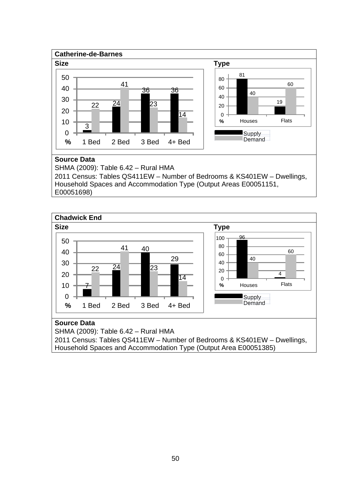

Household Spaces and Accommodation Type (Output Areas E00051151,

E00051698)



## **Source Data**

SHMA (2009): Table 6.42 – Rural HMA 2011 Census: Tables QS411EW – Number of Bedrooms & KS401EW – Dwellings, Household Spaces and Accommodation Type (Output Area E00051385)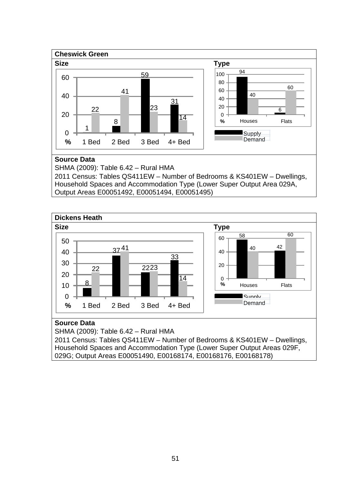

Household Spaces and Accommodation Type (Lower Super Output Area 029A, Output Areas E00051492, E00051494, E00051495)



#### **Source Data**

SHMA (2009): Table 6.42 – Rural HMA 2011 Census: Tables QS411EW – Number of Bedrooms & KS401EW – Dwellings,

Household Spaces and Accommodation Type (Lower Super Output Areas 029F, 029G; Output Areas E00051490, E00168174, E00168176, E00168178)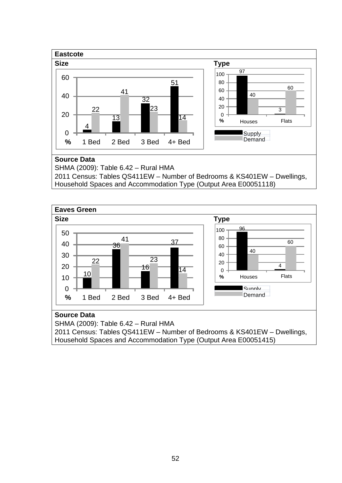



SHMA (2009): Table 6.42 – Rural HMA

2011 Census: Tables QS411EW – Number of Bedrooms & KS401EW – Dwellings, Household Spaces and Accommodation Type (Output Area E00051415)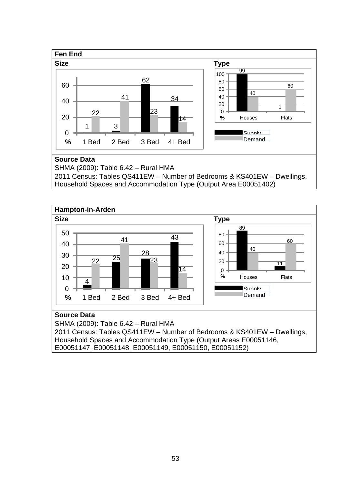

Household Spaces and Accommodation Type (Output Area E00051402)



SHMA (2009): Table 6.42 – Rural HMA 2011 Census: Tables QS411EW – Number of Bedrooms & KS401EW – Dwellings, Household Spaces and Accommodation Type (Output Areas E00051146, E00051147, E00051148, E00051149, E00051150, E00051152)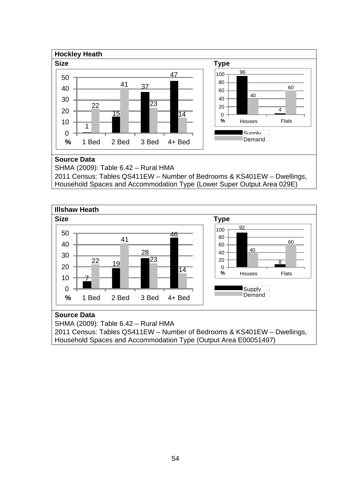

Household Spaces and Accommodation Type (Lower Super Output Area 029E)



SHMA (2009): Table 6.42 – Rural HMA 2011 Census: Tables QS411EW – Number of Bedrooms & KS401EW – Dwellings, Household Spaces and Accommodation Type (Output Area E00051497)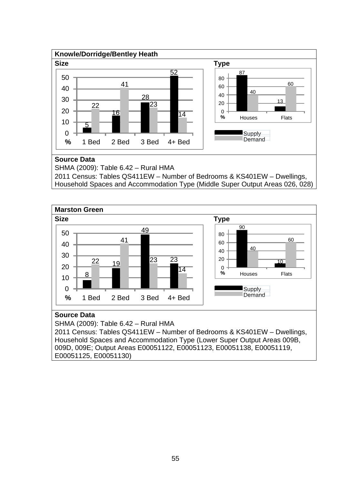

Household Spaces and Accommodation Type (Middle Super Output Areas 026, 028)



## **Source Data**

SHMA (2009): Table 6.42 – Rural HMA

2011 Census: Tables QS411EW – Number of Bedrooms & KS401EW – Dwellings, Household Spaces and Accommodation Type (Lower Super Output Areas 009B, 009D, 009E; Output Areas E00051122, E00051123, E00051138, E00051119, E00051125, E00051130)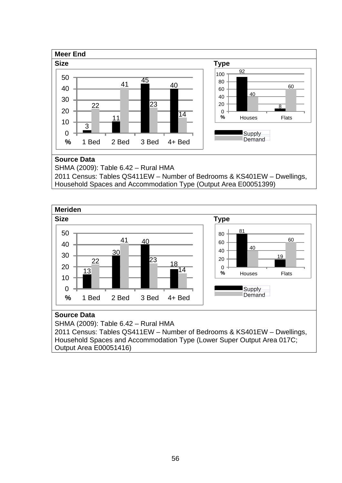

**Meriden Size Type**  I 18  $\frac{18}{214}$  **%** 1 Bed 2 Bed 3 Bed 4+ Bed  $\frac{0}{\%}$  **%** Houses Flats **Supply** Demand

#### **Source Data**

SHMA (2009): Table 6.42 – Rural HMA 2011 Census: Tables QS411EW – Number of Bedrooms & KS401EW – Dwellings, Household Spaces and Accommodation Type (Lower Super Output Area 017C; Output Area E00051416)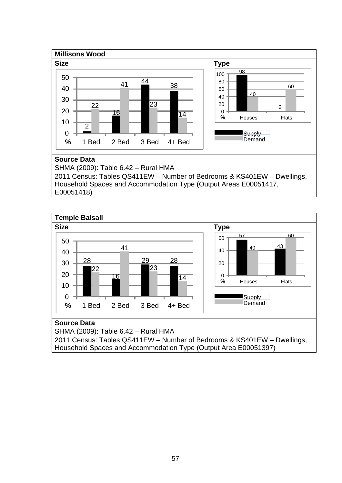

Household Spaces and Accommodation Type (Output Areas E00051417,

E00051418)



## **Source Data**

SHMA (2009): Table 6.42 – Rural HMA

2011 Census: Tables QS411EW – Number of Bedrooms & KS401EW – Dwellings, Household Spaces and Accommodation Type (Output Area E00051397)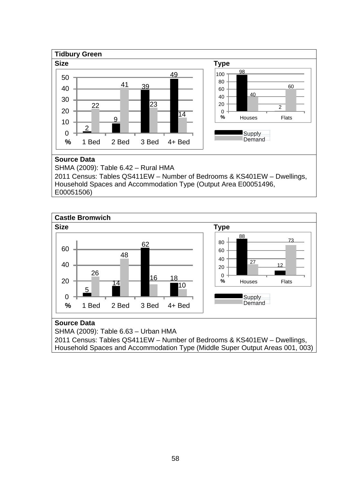

Household Spaces and Accommodation Type (Output Area E00051496,

E00051506)



## **Source Data**

SHMA (2009): Table 6.63 – Urban HMA 2011 Census: Tables QS411EW – Number of Bedrooms & KS401EW – Dwellings, Household Spaces and Accommodation Type (Middle Super Output Areas 001, 003)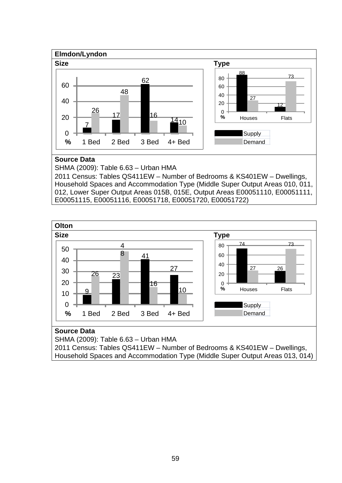

Household Spaces and Accommodation Type (Middle Super Output Areas 010, 011, 012, Lower Super Output Areas 015B, 015E, Output Areas E00051110, E00051111, E00051115, E00051116, E00051718, E00051720, E00051722)



SHMA (2009): Table 6.63 – Urban HMA 2011 Census: Tables QS411EW – Number of Bedrooms & KS401EW – Dwellings, Household Spaces and Accommodation Type (Middle Super Output Areas 013, 014)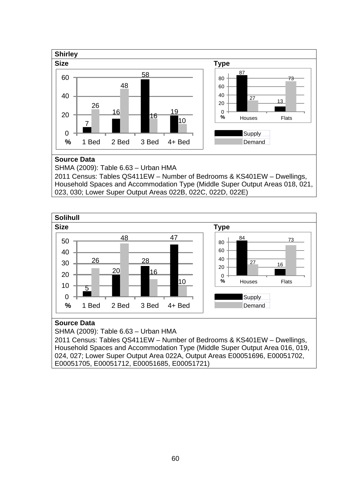

2011 Census: Tables QS411EW – Number of Bedrooms & KS401EW – Dwellings, Household Spaces and Accommodation Type (Middle Super Output Areas 018, 021, 023, 030; Lower Super Output Areas 022B, 022C, 022D, 022E)



## **Source Data**

SHMA (2009): Table 6.63 – Urban HMA

2011 Census: Tables QS411EW – Number of Bedrooms & KS401EW – Dwellings, Household Spaces and Accommodation Type (Middle Super Output Area 016, 019, 024, 027; Lower Super Output Area 022A, Output Areas E00051696, E00051702, E00051705, E00051712, E00051685, E00051721)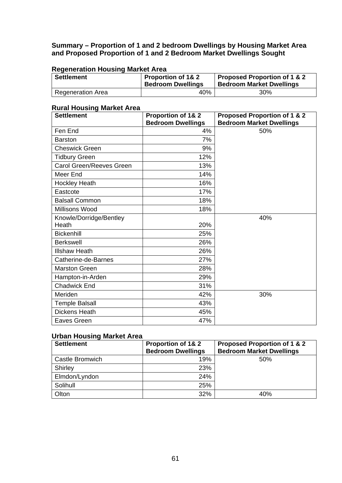#### **Summary – Proportion of 1 and 2 bedroom Dwellings by Housing Market Area and Proposed Proportion of 1 and 2 Bedroom Market Dwellings Sought**

#### **Regeneration Housing Market Area**

| <b>Settlement</b>        | <b>Proportion of 1&amp; 2</b><br><b>Bedroom Dwellings</b> | <b>Proposed Proportion of 1 &amp; 2</b><br><b>Bedroom Market Dwellings</b> |
|--------------------------|-----------------------------------------------------------|----------------------------------------------------------------------------|
| <b>Regeneration Area</b> | 40%                                                       | 30%                                                                        |

#### **Rural Housing Market Area**

| <b>Settlement</b>               | <b>Proportion of 1&amp; 2</b><br><b>Bedroom Dwellings</b> | <b>Proposed Proportion of 1 &amp; 2</b><br><b>Bedroom Market Dwellings</b> |
|---------------------------------|-----------------------------------------------------------|----------------------------------------------------------------------------|
| Fen End                         | 4%                                                        | 50%                                                                        |
| <b>Barston</b>                  | 7%                                                        |                                                                            |
| <b>Cheswick Green</b>           | 9%                                                        |                                                                            |
| <b>Tidbury Green</b>            | 12%                                                       |                                                                            |
| <b>Carol Green/Reeves Green</b> | 13%                                                       |                                                                            |
| Meer End                        | 14%                                                       |                                                                            |
| <b>Hockley Heath</b>            | 16%                                                       |                                                                            |
| Eastcote                        | 17%                                                       |                                                                            |
| <b>Balsall Common</b>           | 18%                                                       |                                                                            |
| Millisons Wood                  | 18%                                                       |                                                                            |
| Knowle/Dorridge/Bentley         |                                                           | 40%                                                                        |
| Heath                           | 20%                                                       |                                                                            |
| <b>Bickenhill</b>               | 25%                                                       |                                                                            |
| <b>Berkswell</b>                | 26%                                                       |                                                                            |
| <b>Illshaw Heath</b>            | 26%                                                       |                                                                            |
| Catherine-de-Barnes             | 27%                                                       |                                                                            |
| <b>Marston Green</b>            | 28%                                                       |                                                                            |
| Hampton-in-Arden                | 29%                                                       |                                                                            |
| <b>Chadwick End</b>             | 31%                                                       |                                                                            |
| Meriden                         | 42%                                                       | 30%                                                                        |
| <b>Temple Balsall</b>           | 43%                                                       |                                                                            |
| Dickens Heath                   | 45%                                                       |                                                                            |
| Eaves Green                     | 47%                                                       |                                                                            |

## **Urban Housing Market Area**

| <b>Settlement</b> | <b>Proportion of 1&amp; 2</b><br><b>Bedroom Dwellings</b> | <b>Proposed Proportion of 1 &amp; 2</b><br><b>Bedroom Market Dwellings</b> |
|-------------------|-----------------------------------------------------------|----------------------------------------------------------------------------|
| Castle Bromwich   | 19%                                                       | 50%                                                                        |
| Shirley           | 23%                                                       |                                                                            |
| Elmdon/Lyndon     | 24%                                                       |                                                                            |
| Solihull          | 25%                                                       |                                                                            |
| Olton             | 32%                                                       | 40%                                                                        |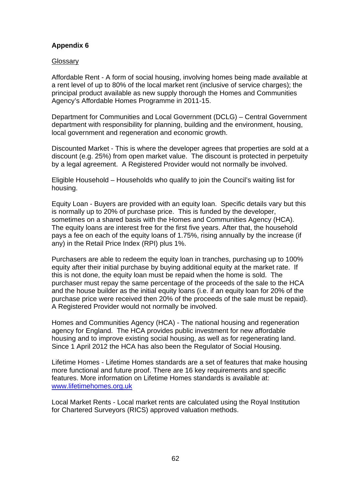## **Appendix 6**

#### **Glossary**

Affordable Rent - A form of social housing, involving homes being made available at a rent level of up to 80% of the local market rent (inclusive of service charges); the principal product available as new supply thorough the Homes and Communities Agency's Affordable Homes Programme in 2011-15.

Department for Communities and Local Government (DCLG) – Central Government department with responsibility for planning, building and the environment, housing, local government and regeneration and economic growth.

Discounted Market - This is where the developer agrees that properties are sold at a discount (e.g. 25%) from open market value. The discount is protected in perpetuity by a legal agreement. A Registered Provider would not normally be involved.

Eligible Household – Households who qualify to join the Council's waiting list for housing.

Equity Loan - Buyers are provided with an equity loan. Specific details vary but this is normally up to 20% of purchase price. This is funded by the developer, sometimes on a shared basis with the Homes and Communities Agency (HCA). The equity loans are interest free for the first five years. After that, the household pays a fee on each of the equity loans of 1.75%, rising annually by the increase (if any) in the Retail Price Index (RPI) plus 1%.

Purchasers are able to redeem the equity loan in tranches, purchasing up to 100% equity after their initial purchase by buying additional equity at the market rate. If this is not done, the equity loan must be repaid when the home is sold. The purchaser must repay the same percentage of the proceeds of the sale to the HCA and the house builder as the initial equity loans (i.e. if an equity loan for 20% of the purchase price were received then 20% of the proceeds of the sale must be repaid). A Registered Provider would not normally be involved.

Homes and Communities Agency (HCA) - The national housing and regeneration agency for England. The HCA provides public investment for new affordable housing and to improve existing social housing, as well as for regenerating land. Since 1 April 2012 the HCA has also been the Regulator of Social Housing.

Lifetime Homes - Lifetime Homes standards are a set of features that make housing more functional and future proof. There are 16 key requirements and specific features. More information on Lifetime Homes standards is available at: www.lifetimehomes.org.uk

Local Market Rents - Local market rents are calculated using the Royal Institution for Chartered Surveyors (RICS) approved valuation methods.